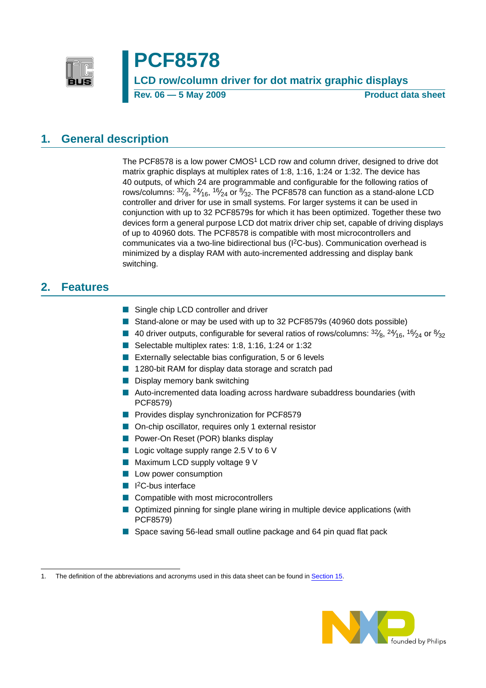

# **PCF8578**

**LCD row/column driver for dot matrix graphic displays Rev. 06 — 5 May 2009 Product data sheet** 

#### <span id="page-0-0"></span>**1. General description**

The PCF8578 is a low power CMOS1 LCD row and column driver, designed to drive dot matrix graphic displays at multiplex rates of 1:8, 1:16, 1:24 or 1:32. The device has 40 outputs, of which 24 are programmable and configurable for the following ratios of rows/columns:  $^{32}$ / $_8$ ,  $^{24}$ / $_{16}$ ,  $^{16}$ / $_{24}$  or  $^{8}$ / $_{32}$ . The PCF8578 can function as a stand-alone LCD controller and driver for use in small systems. For larger systems it can be used in conjunction with up to 32 PCF8579s for which it has been optimized. Together these two devices form a general purpose LCD dot matrix driver chip set, capable of driving displays of up to 40960 dots. The PCF8578 is compatible with most microcontrollers and communicates via a two-line bidirectional bus (I2C-bus). Communication overhead is minimized by a display RAM with auto-incremented addressing and display bank switching.

### <span id="page-0-1"></span>**2. Features**

- Single chip LCD controller and driver
- Stand-alone or may be used with up to 32 PCF8579s (40960 dots possible)
- 40 driver outputs, configurable for several ratios of rows/columns:  $3^{2}/_{8}$ ,  $2^{4}/_{16}$ ,  $16/_{24}$  or  $8/_{32}$
- Selectable multiplex rates: 1:8, 1:16, 1:24 or 1:32
- Externally selectable bias configuration, 5 or 6 levels
- 1280-bit RAM for display data storage and scratch pad
- Display memory bank switching
- Auto-incremented data loading across hardware subaddress boundaries (with PCF8579)
- Provides display synchronization for PCF8579
- On-chip oscillator, requires only 1 external resistor
- Power-On Reset (POR) blanks display
- Logic voltage supply range 2.5 V to 6 V
- Maximum LCD supply voltage 9 V
- Low power consumption
- I<sup>2</sup>C-bus interface
- Compatible with most microcontrollers
- Optimized pinning for single plane wiring in multiple device applications (with PCF8579)
- Space saving 56-lead small outline package and 64 pin quad flat pack

<sup>1.</sup> The definition of the abbreviations and acronyms used in this data sheet can be found in [Section](#page-42-0) 15.

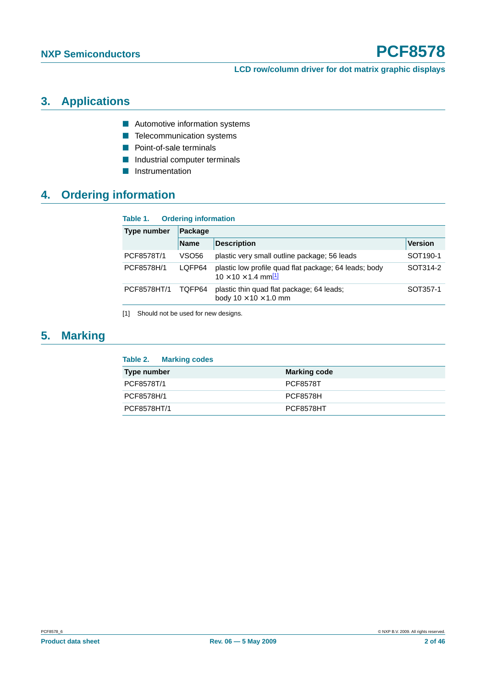**LCD row/column driver for dot matrix graphic displays**

## <span id="page-1-1"></span>**3. Applications**

- Automotive information systems
- Telecommunication systems
- Point-of-sale terminals
- Industrial computer terminals
- **■** Instrumentation

## <span id="page-1-2"></span>**4. Ordering information**

#### **Table 1. Ordering information**

| Type number | Package      |                                                                                          |                      |  |  |  |  |
|-------------|--------------|------------------------------------------------------------------------------------------|----------------------|--|--|--|--|
|             | <b>Name</b>  | <b>Description</b>                                                                       | <b>Version</b>       |  |  |  |  |
| PCF8578T/1  | <b>VSO56</b> | plastic very small outline package; 56 leads                                             | SOT <sub>190-1</sub> |  |  |  |  |
| PCF8578H/1  | LOFP64       | plastic low profile quad flat package; 64 leads; body<br>$10 \times 10 \times 1.4$ mm[1] | SOT314-2             |  |  |  |  |
| PCF8578HT/1 | TOFP64       | plastic thin quad flat package; 64 leads;<br>body $10 \times 10 \times 1.0$ mm           | SOT357-1             |  |  |  |  |

<span id="page-1-0"></span>[1] Should not be used for new designs.

## <span id="page-1-3"></span>**5. Marking**

| Table 2.<br><b>Marking codes</b> |                     |
|----------------------------------|---------------------|
| Type number                      | <b>Marking code</b> |
| PCF8578T/1                       | <b>PCF8578T</b>     |
| PCF8578H/1                       | <b>PCF8578H</b>     |
| PCF8578HT/1                      | PCF8578HT           |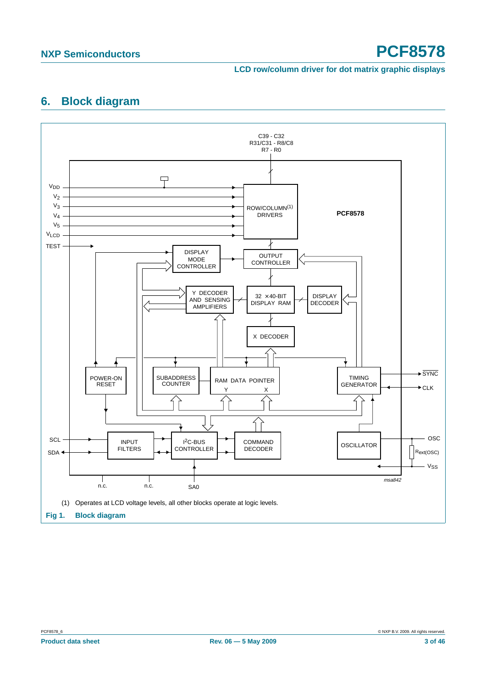#### **LCD row/column driver for dot matrix graphic displays**

## <span id="page-2-0"></span>**6. Block diagram**

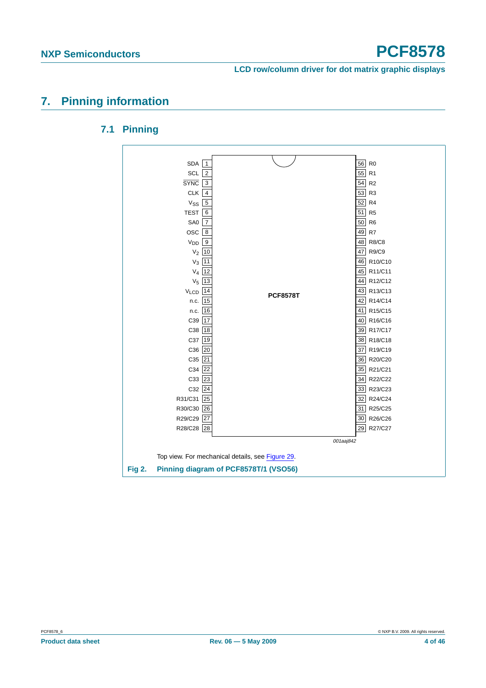### <span id="page-3-1"></span><span id="page-3-0"></span>**7. Pinning information**

#### **7.1 Pinning**

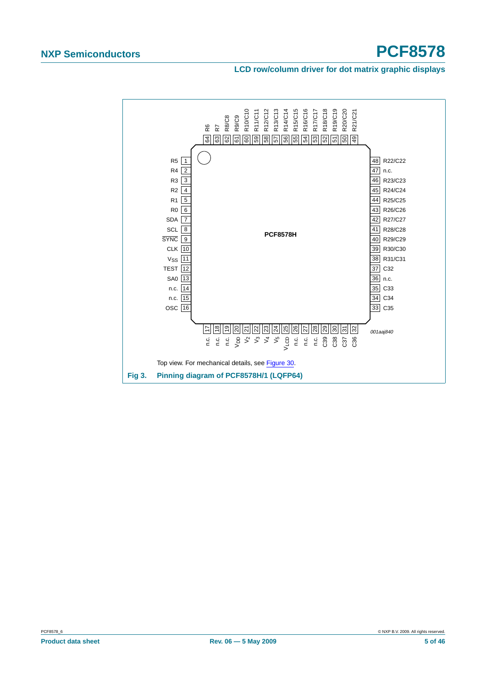#### **LCD row/column driver for dot matrix graphic displays**

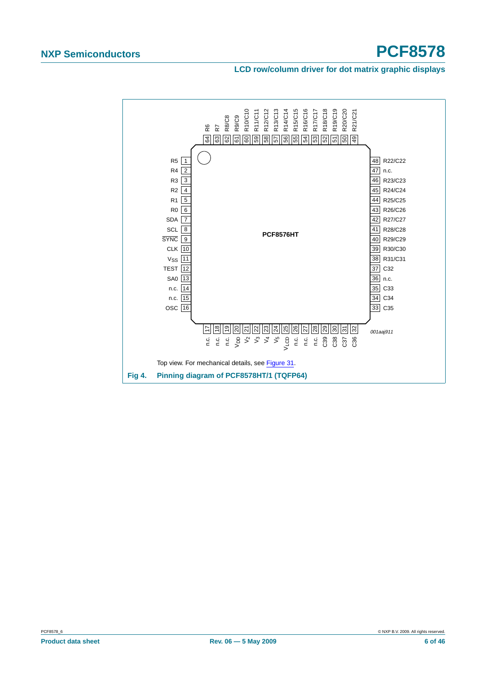#### **LCD row/column driver for dot matrix graphic displays**

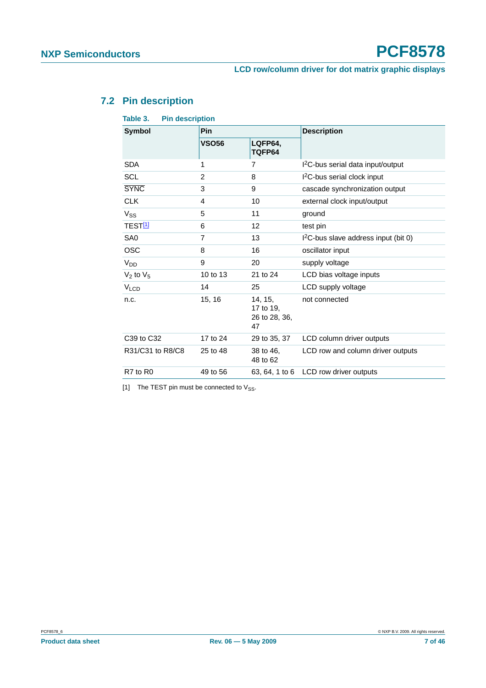## <span id="page-6-1"></span>**7.2 Pin description**

| Table 3.               | <b>Pin description</b> |                                             |                                                  |
|------------------------|------------------------|---------------------------------------------|--------------------------------------------------|
| Symbol                 | <b>Pin</b>             |                                             | <b>Description</b>                               |
|                        | <b>VSO56</b>           | LQFP64,<br>TQFP64                           |                                                  |
| <b>SDA</b>             | 1                      | 7                                           | I <sup>2</sup> C-bus serial data input/output    |
| <b>SCL</b>             | $\overline{2}$         | 8                                           | I <sup>2</sup> C-bus serial clock input          |
| <b>SYNC</b>            | 3                      | 9                                           | cascade synchronization output                   |
| <b>CLK</b>             | 4                      | 10                                          | external clock input/output                      |
| $V_{SS}$               | 5                      | 11                                          | ground                                           |
| TEST <sup>[1]</sup>    | 6                      | 12                                          | test pin                                         |
| SA <sub>0</sub>        | $\overline{7}$         | 13                                          | I <sup>2</sup> C-bus slave address input (bit 0) |
| <b>OSC</b>             | 8                      | 16                                          | oscillator input                                 |
| V <sub>DD</sub>        | 9                      | 20                                          | supply voltage                                   |
| $V_2$ to $V_5$         | 10 to 13               | 21 to 24                                    | LCD bias voltage inputs                          |
| <b>V<sub>LCD</sub></b> | 14                     | 25                                          | LCD supply voltage                               |
| n.c.                   | 15, 16                 | 14, 15,<br>17 to 19,<br>26 to 28, 36,<br>47 | not connected                                    |
| C39 to C32             | 17 to 24               | 29 to 35, 37                                | LCD column driver outputs                        |
| R31/C31 to R8/C8       | 25 to 48               | 38 to 46,<br>48 to 62                       | LCD row and column driver outputs                |
| R7 to R0               | 49 to 56               |                                             | 63, 64, 1 to 6 LCD row driver outputs            |
|                        |                        |                                             |                                                  |

<span id="page-6-0"></span>[1] The TEST pin must be connected to  $V_{SS}$ .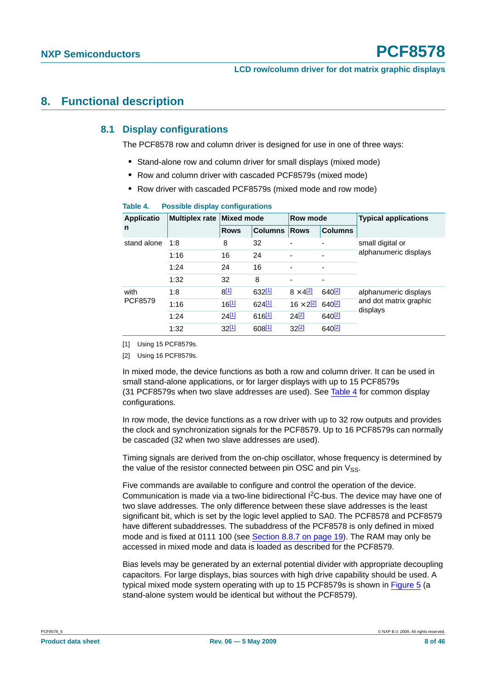#### <span id="page-7-4"></span><span id="page-7-3"></span>**8. Functional description**

#### **8.1 Display configurations**

The PCF8578 row and column driver is designed for use in one of three ways:

- **•** Stand-alone row and column driver for small displays (mixed mode)
- **•** Row and column driver with cascaded PCF8579s (mixed mode)
- **•** Row driver with cascaded PCF8579s (mixed mode and row mode)

| <b>Applicatio</b>      | <b>Multiplex rate</b> | <b>Mixed mode</b> |                      | Row mode            |                          | <b>Typical applications</b>        |
|------------------------|-----------------------|-------------------|----------------------|---------------------|--------------------------|------------------------------------|
| n                      |                       | <b>Rows</b>       | <b>Columns</b>       | <b>Rows</b>         | <b>Columns</b>           |                                    |
| stand alone            | 1:8                   | 8                 | 32                   | ۰                   | $\overline{\phantom{a}}$ | small digital or                   |
|                        | 1:16                  | 16                | 24                   |                     | $\overline{\phantom{a}}$ | alphanumeric displays              |
|                        | 1:24                  | 24                | 16                   | ٠                   | -                        |                                    |
|                        | 1:32                  | 32                | 8                    | ۰                   | ٠                        |                                    |
| with<br><b>PCF8579</b> | 1:8                   | $8^{[1]}$         | 632[1]               | $8 \times 4^{2}$    | 640[2]                   | alphanumeric displays              |
|                        | 1:16                  | 16[1]             | 624[1]               | $16 \times 2^{[2]}$ | $640^{[2]}$              | and dot matrix graphic<br>displays |
|                        | 1:24                  | 24[1]             | $616$ <sup>[1]</sup> | 24[2]               | $640^{[2]}$              |                                    |
|                        | 1:32                  | 32[1]             | 608[1]               | 32[2]               | 640 <sup>[2]</sup>       |                                    |

#### <span id="page-7-2"></span>**Table 4. Possible display configurations**

<span id="page-7-0"></span>[1] Using 15 PCF8579s.

<span id="page-7-1"></span>[2] Using 16 PCF8579s.

In mixed mode, the device functions as both a row and column driver. It can be used in small stand-alone applications, or for larger displays with up to 15 PCF8579s (31 PCF8579s when two slave addresses are used). See [Table](#page-7-2) 4 for common display configurations.

In row mode, the device functions as a row driver with up to 32 row outputs and provides the clock and synchronization signals for the PCF8579. Up to 16 PCF8579s can normally be cascaded (32 when two slave addresses are used).

Timing signals are derived from the on-chip oscillator, whose frequency is determined by the value of the resistor connected between pin OSC and pin  $V_{SS}$ .

Five commands are available to configure and control the operation of the device. Communication is made via a two-line bidirectional I2C-bus. The device may have one of two slave addresses. The only difference between these slave addresses is the least significant bit, which is set by the logic level applied to SA0. The PCF8578 and PCF8579 have different subaddresses. The subaddress of the PCF8578 is only defined in mixed mode and is fixed at 0111 100 (see Section [8.8.7 on page](#page-18-0) 19). The RAM may only be accessed in mixed mode and data is loaded as described for the PCF8579.

Bias levels may be generated by an external potential divider with appropriate decoupling capacitors. For large displays, bias sources with high drive capability should be used. A typical mixed mode system operating with up to 15 PCF8579s is shown in [Figure](#page-8-0) 5 (a stand-alone system would be identical but without the PCF8579).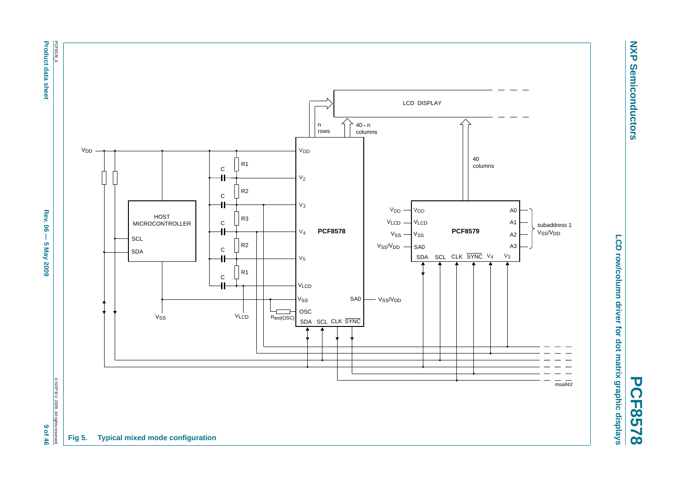**Product data sheet** 



<span id="page-8-0"></span>9 of 46



**NXP Semiconductors**

**Semiconductors** 

**NXP**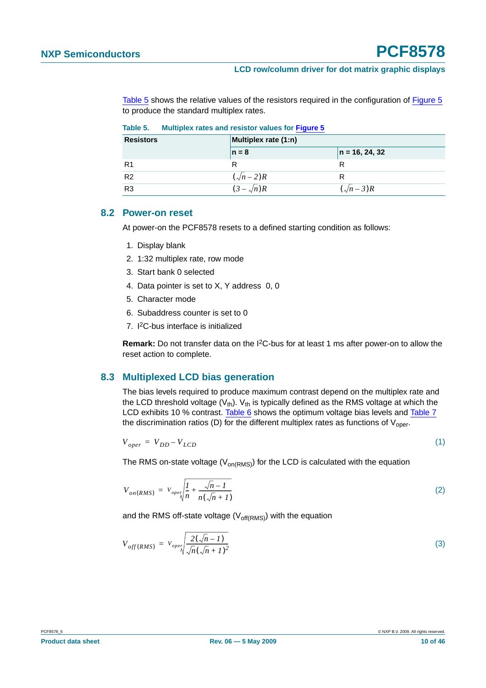[Table](#page-9-0) 5 shows the relative values of the resistors required in the configuration of [Figure](#page-8-0) 5 to produce the standard multiplex rates.

| <b>Resistors</b> | Multiplex rate (1:n) |                  |  |  |  |
|------------------|----------------------|------------------|--|--|--|
|                  | $n = 8$              | $n = 16, 24, 32$ |  |  |  |
| R1               |                      |                  |  |  |  |
| R <sub>2</sub>   | $(\sqrt{n}-2)R$      |                  |  |  |  |
| R <sub>3</sub>   | $(3-\sqrt{n})R$      | $(\sqrt{n}-3)R$  |  |  |  |

<span id="page-9-0"></span>**Table 5. Multiplex rates and resistor values for [Figure](#page-8-0) 5**

#### <span id="page-9-1"></span>**8.2 Power-on reset**

At power-on the PCF8578 resets to a defined starting condition as follows:

- 1. Display blank
- 2. 1:32 multiplex rate, row mode
- 3. Start bank 0 selected
- 4. Data pointer is set to X, Y address 0, 0
- 5. Character mode
- 6. Subaddress counter is set to 0
- 7. I2C-bus interface is initialized

**Remark:** Do not transfer data on the I2C-bus for at least 1 ms after power-on to allow the reset action to complete.

#### <span id="page-9-2"></span>**8.3 Multiplexed LCD bias generation**

The bias levels required to produce maximum contrast depend on the multiplex rate and the LCD threshold voltage  $(V_{th})$ .  $V_{th}$  is typically defined as the RMS voltage at which the LCD exhibits 10 % contrast. [Table](#page-10-0) 6 shows the optimum voltage bias levels and [Table](#page-10-1) 7 the discrimination ratios (D) for the different multiplex rates as functions of  $V_{\text{oper}}$ .

$$
V_{oper} = V_{DD} - V_{LCD} \tag{1}
$$

The RMS on-state voltage ( $V_{on(RMS)}$ ) for the LCD is calculated with the equation

$$
V_{on(RMS)} = V_{oper} \sqrt{\frac{I}{n} + \frac{\sqrt{n} - I}{n(\sqrt{n} + I)}}
$$
 (2)

and the RMS off-state voltage  $(V_{off(RMS)})$  with the equation

$$
V_{off(RMS)} = V_{oper} \sqrt{\frac{2(\sqrt{n}-1)}{\sqrt{n}(\sqrt{n}+1)^2}}
$$
(3)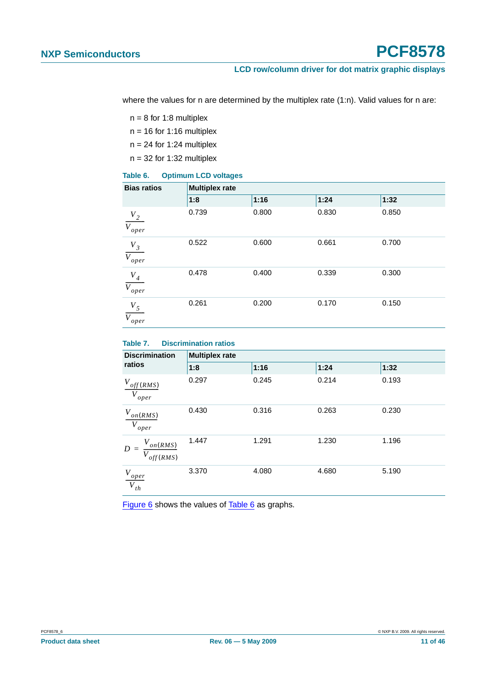where the values for n are determined by the multiplex rate (1:n). Valid values for n are:

 $n = 8$  for 1:8 multiplex

 $n = 16$  for 1:16 multiplex

 $n = 24$  for 1:24 multiplex

 $n = 32$  for 1:32 multiplex

#### <span id="page-10-0"></span>**Table 6. Optimum LCD voltages**

| <b>Bias ratios</b>             | <b>Multiplex rate</b> |       |       |       |  |  |  |  |
|--------------------------------|-----------------------|-------|-------|-------|--|--|--|--|
|                                | 1:8                   | 1:16  | 1:24  | 1:32  |  |  |  |  |
| $\frac{V_2}{V_{oper}}$         | 0.739                 | 0.800 | 0.830 | 0.850 |  |  |  |  |
| $\frac{V_{3}}{V_{oper}}$       | 0.522                 | 0.600 | 0.661 | 0.700 |  |  |  |  |
| $\frac{V_4}{V_{oper}}$         | 0.478                 | 0.400 | 0.339 | 0.300 |  |  |  |  |
| $V_5$<br>$\overline{V_{oper}}$ | 0.261                 | 0.200 | 0.170 | 0.150 |  |  |  |  |

#### <span id="page-10-1"></span>**Table 7. Discrimination ratios**

| <b>Discrimination</b>                   | <b>Multiplex rate</b> |       |       |       |  |  |  |  |
|-----------------------------------------|-----------------------|-------|-------|-------|--|--|--|--|
| ratios                                  | 1:8                   | 1:16  | 1:24  | 1:32  |  |  |  |  |
| $V_{off(RMS)}$<br>$\overline{V}_{oper}$ | 0.297                 | 0.245 | 0.214 | 0.193 |  |  |  |  |
| $V_{on(RMS)}$<br>$V_{oper}$             | 0.430                 | 0.316 | 0.263 | 0.230 |  |  |  |  |
| $V_{on(RMS)}$<br>$D =$<br>off(RMS)      | 1.447                 | 1.291 | 1.230 | 1.196 |  |  |  |  |
| $\frac{V_{oper}}{V_{th}}$               | 3.370                 | 4.080 | 4.680 | 5.190 |  |  |  |  |

[Figure](#page-11-0) 6 shows the values of [Table](#page-10-0) 6 as graphs.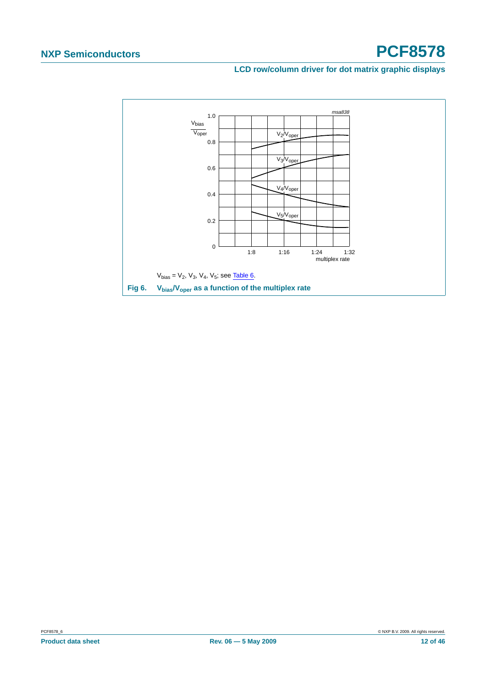**LCD row/column driver for dot matrix graphic displays**

<span id="page-11-0"></span>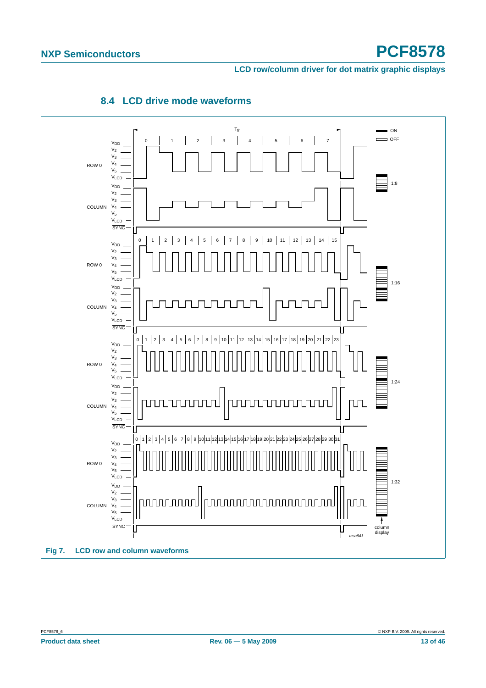**LCD row/column driver for dot matrix graphic displays**

<span id="page-12-0"></span>

#### **8.4 LCD drive mode waveforms**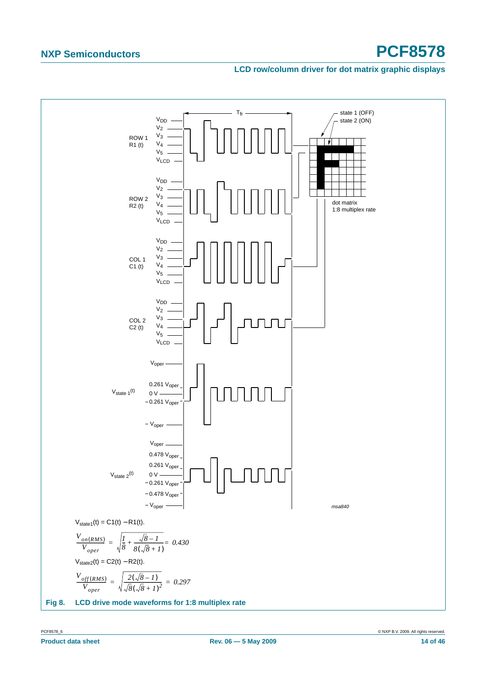#### **LCD row/column driver for dot matrix graphic displays**

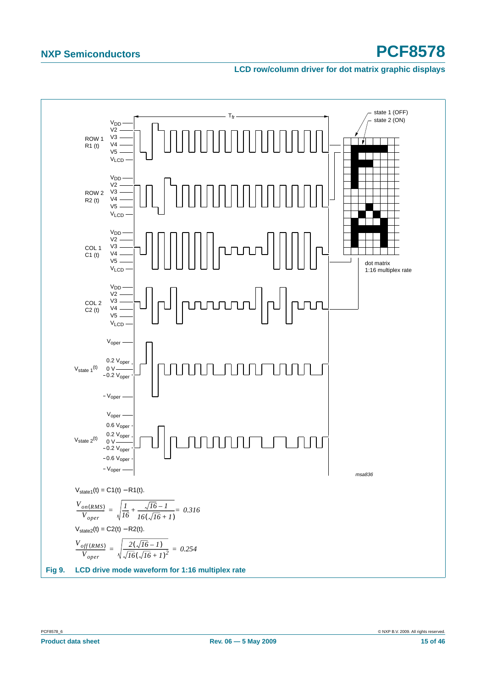#### **LCD row/column driver for dot matrix graphic displays**

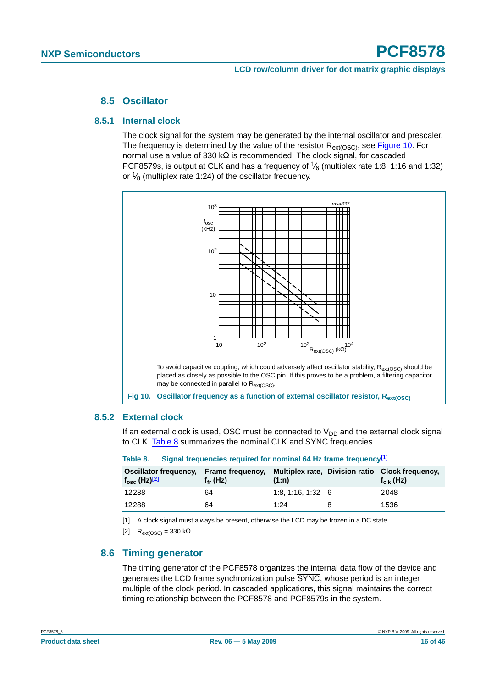#### **8.5 Oscillator**

#### <span id="page-15-5"></span><span id="page-15-4"></span>**8.5.1 Internal clock**

The clock signal for the system may be generated by the internal oscillator and prescaler. The frequency is determined by the value of the resistor  $R_{ext(OSC)}$ , see [Figure](#page-15-2) 10. For normal use a value of 330 kΩ is recommended. The clock signal, for cascaded PCF8579s, is output at CLK and has a frequency of  $\frac{1}{6}$  (multiplex rate 1:8, 1:16 and 1:32) or  $\frac{1}{8}$  (multiplex rate 1:24) of the oscillator frequency.



#### <span id="page-15-6"></span><span id="page-15-2"></span>**8.5.2 External clock**

If an external clock is used, OSC must be connected to  $V_{DD}$  and the external clock signal to CLK. [Table](#page-15-3) 8 summarizes the nominal CLK and SYNC frequencies.

| TUMP VI                                                | <b>Olyman incredibility required for homman of the manneth cauchovers</b>         |                         |                     |
|--------------------------------------------------------|-----------------------------------------------------------------------------------|-------------------------|---------------------|
| Oscillator frequency,<br>$f_{\rm osc}$ (Hz) $\sqrt{2}$ | Frame frequency, Multiplex rate, Division ratio Clock frequency,<br>$f_{fr}$ (Hz) | (1:n)                   | $f_{\rm{clk}}$ (Hz) |
| 12288                                                  | 64                                                                                | $1:8.1:16.1:32 \quad 6$ | 2048                |
| 12288                                                  | 64                                                                                | 1:24                    | 1536                |

<span id="page-15-3"></span>**Table 8. Signal frequencies required for nominal 64 Hz frame frequenc[y\[1\]](#page-15-0)**

<span id="page-15-0"></span>[1] A clock signal must always be present, otherwise the LCD may be frozen in a DC state.

<span id="page-15-1"></span>[2]  $R_{ext(OSC)} = 330 \text{ k}\Omega$ .

#### <span id="page-15-7"></span>**8.6 Timing generator**

The timing generator of the PCF8578 organizes the internal data flow of the device and generates the LCD frame synchronization pulse  $\overline{\text{SYNC}}$ , whose period is an integer multiple of the clock period. In cascaded applications, this signal maintains the correct timing relationship between the PCF8578 and PCF8579s in the system.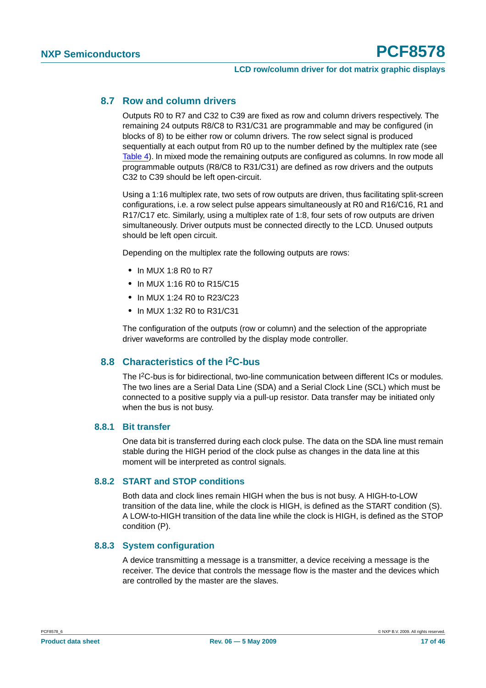#### <span id="page-16-0"></span>**8.7 Row and column drivers**

Outputs R0 to R7 and C32 to C39 are fixed as row and column drivers respectively. The remaining 24 outputs R8/C8 to R31/C31 are programmable and may be configured (in blocks of 8) to be either row or column drivers. The row select signal is produced sequentially at each output from R0 up to the number defined by the multiplex rate (see [Table](#page-7-2) 4). In mixed mode the remaining outputs are configured as columns. In row mode all programmable outputs (R8/C8 to R31/C31) are defined as row drivers and the outputs C32 to C39 should be left open-circuit.

Using a 1:16 multiplex rate, two sets of row outputs are driven, thus facilitating split-screen configurations, i.e. a row select pulse appears simultaneously at R0 and R16/C16, R1 and R17/C17 etc. Similarly, using a multiplex rate of 1:8, four sets of row outputs are driven simultaneously. Driver outputs must be connected directly to the LCD. Unused outputs should be left open circuit.

Depending on the multiplex rate the following outputs are rows:

- **•** In MUX 1:8 R0 to R7
- **•** In MUX 1:16 R0 to R15/C15
- **•** In MUX 1:24 R0 to R23/C23
- **•** In MUX 1:32 R0 to R31/C31

The configuration of the outputs (row or column) and the selection of the appropriate driver waveforms are controlled by the display mode controller.

#### <span id="page-16-1"></span>**8.8 Characteristics of the I2C-bus**

The I2C-bus is for bidirectional, two-line communication between different ICs or modules. The two lines are a Serial Data Line (SDA) and a Serial Clock Line (SCL) which must be connected to a positive supply via a pull-up resistor. Data transfer may be initiated only when the bus is not busy.

#### <span id="page-16-2"></span>**8.8.1 Bit transfer**

One data bit is transferred during each clock pulse. The data on the SDA line must remain stable during the HIGH period of the clock pulse as changes in the data line at this moment will be interpreted as control signals.

#### <span id="page-16-3"></span>**8.8.2 START and STOP conditions**

Both data and clock lines remain HIGH when the bus is not busy. A HIGH-to-LOW transition of the data line, while the clock is HIGH, is defined as the START condition (S). A LOW-to-HIGH transition of the data line while the clock is HIGH, is defined as the STOP condition (P).

#### <span id="page-16-4"></span>**8.8.3 System configuration**

A device transmitting a message is a transmitter, a device receiving a message is the receiver. The device that controls the message flow is the master and the devices which are controlled by the master are the slaves.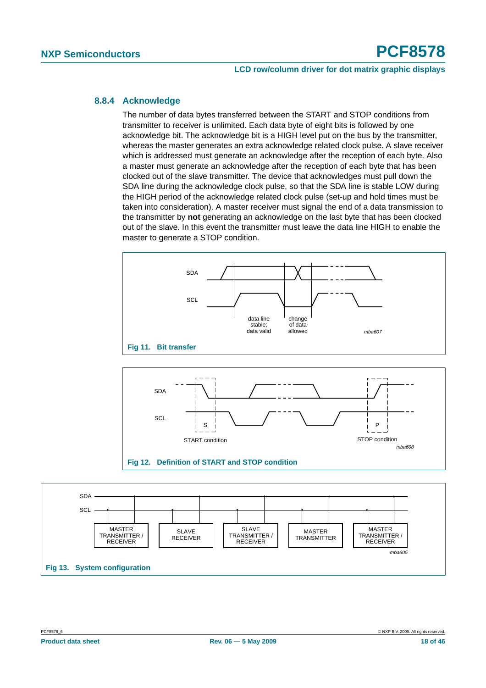#### <span id="page-17-0"></span>**8.8.4 Acknowledge**

The number of data bytes transferred between the START and STOP conditions from transmitter to receiver is unlimited. Each data byte of eight bits is followed by one acknowledge bit. The acknowledge bit is a HIGH level put on the bus by the transmitter, whereas the master generates an extra acknowledge related clock pulse. A slave receiver which is addressed must generate an acknowledge after the reception of each byte. Also a master must generate an acknowledge after the reception of each byte that has been clocked out of the slave transmitter. The device that acknowledges must pull down the SDA line during the acknowledge clock pulse, so that the SDA line is stable LOW during the HIGH period of the acknowledge related clock pulse (set-up and hold times must be taken into consideration). A master receiver must signal the end of a data transmission to the transmitter by **not** generating an acknowledge on the last byte that has been clocked out of the slave. In this event the transmitter must leave the data line HIGH to enable the master to generate a STOP condition.





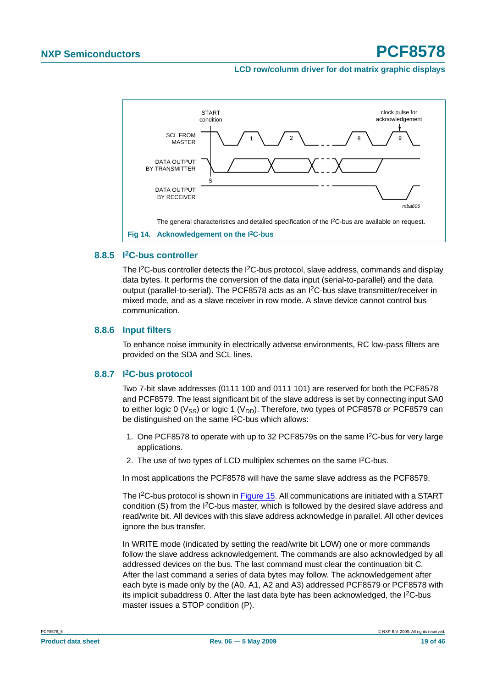#### **LCD row/column driver for dot matrix graphic displays**



#### <span id="page-18-1"></span>**8.8.5 I2C-bus controller**

The  $I^2C$ -bus controller detects the  $I^2C$ -bus protocol, slave address, commands and display data bytes. It performs the conversion of the data input (serial-to-parallel) and the data output (parallel-to-serial). The PCF8578 acts as an I<sup>2</sup>C-bus slave transmitter/receiver in mixed mode, and as a slave receiver in row mode. A slave device cannot control bus communication.

#### <span id="page-18-2"></span>**8.8.6 Input filters**

To enhance noise immunity in electrically adverse environments, RC low-pass filters are provided on the SDA and SCL lines.

#### <span id="page-18-0"></span>**8.8.7 I2C-bus protocol**

Two 7-bit slave addresses (0111 100 and 0111 101) are reserved for both the PCF8578 and PCF8579. The least significant bit of the slave address is set by connecting input SA0 to either logic 0 ( $V_{SS}$ ) or logic 1 ( $V_{DD}$ ). Therefore, two types of PCF8578 or PCF8579 can be distinguished on the same I<sup>2</sup>C-bus which allows:

- 1. One PCF8578 to operate with up to 32 PCF8579s on the same I2C-bus for very large applications.
- 2. The use of two types of LCD multiplex schemes on the same I<sup>2</sup>C-bus.

In most applications the PCF8578 will have the same slave address as the PCF8579.

The I<sup>2</sup>C-bus protocol is shown in [Figure](#page-19-0) 15. All communications are initiated with a START condition  $(S)$  from the  $I<sup>2</sup>C$ -bus master, which is followed by the desired slave address and read/write bit. All devices with this slave address acknowledge in parallel. All other devices ignore the bus transfer.

In WRITE mode (indicated by setting the read/write bit LOW) one or more commands follow the slave address acknowledgement. The commands are also acknowledged by all addressed devices on the bus. The last command must clear the continuation bit C. After the last command a series of data bytes may follow. The acknowledgement after each byte is made only by the (A0, A1, A2 and A3) addressed PCF8579 or PCF8578 with its implicit subaddress 0. After the last data byte has been acknowledged, the I<sup>2</sup>C-bus master issues a STOP condition (P).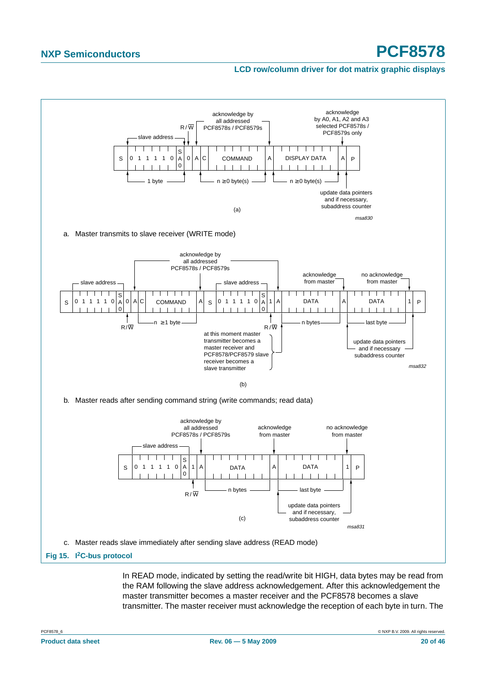#### **LCD row/column driver for dot matrix graphic displays**



<span id="page-19-0"></span>In READ mode, indicated by setting the read/write bit HIGH, data bytes may be read from the RAM following the slave address acknowledgement. After this acknowledgement the master transmitter becomes a master receiver and the PCF8578 becomes a slave transmitter. The master receiver must acknowledge the reception of each byte in turn. The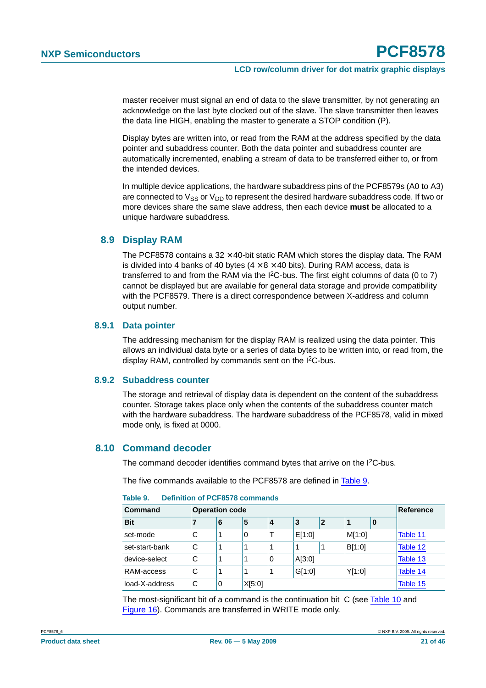master receiver must signal an end of data to the slave transmitter, by not generating an acknowledge on the last byte clocked out of the slave. The slave transmitter then leaves the data line HIGH, enabling the master to generate a STOP condition (P).

Display bytes are written into, or read from the RAM at the address specified by the data pointer and subaddress counter. Both the data pointer and subaddress counter are automatically incremented, enabling a stream of data to be transferred either to, or from the intended devices.

In multiple device applications, the hardware subaddress pins of the PCF8579s (A0 to A3) are connected to  $V_{SS}$  or  $V_{DD}$  to represent the desired hardware subaddress code. If two or more devices share the same slave address, then each device **must** be allocated to a unique hardware subaddress.

#### <span id="page-20-1"></span>**8.9 Display RAM**

The PCF8578 contains a  $32 \times 40$ -bit static RAM which stores the display data. The RAM is divided into 4 banks of 40 bytes ( $4 \times 8 \times 40$  bits). During RAM access, data is transferred to and from the RAM via the I2C-bus. The first eight columns of data (0 to 7) cannot be displayed but are available for general data storage and provide compatibility with the PCF8579. There is a direct correspondence between X-address and column output number.

#### <span id="page-20-2"></span>**8.9.1 Data pointer**

The addressing mechanism for the display RAM is realized using the data pointer. This allows an individual data byte or a series of data bytes to be written into, or read from, the display RAM, controlled by commands sent on the I<sup>2</sup>C-bus.

#### <span id="page-20-3"></span>**8.9.2 Subaddress counter**

The storage and retrieval of display data is dependent on the content of the subaddress counter. Storage takes place only when the contents of the subaddress counter match with the hardware subaddress. The hardware subaddress of the PCF8578, valid in mixed mode only, is fixed at 0000.

#### <span id="page-20-4"></span>**8.10 Command decoder**

The command decoder identifies command bytes that arrive on the I<sup>2</sup>C-bus.

The five commands available to the PCF8578 are defined in [Table](#page-20-0) 9.

| Command        |   | <b>Operation code</b> |        |   |        |              |        | Reference |          |
|----------------|---|-----------------------|--------|---|--------|--------------|--------|-----------|----------|
| <b>Bit</b>     |   | 6                     | 5      | 4 | 3      | $\mathbf{2}$ |        | 0         |          |
| set-mode       | С |                       | 0      |   | E[1:0] |              | M[1:0] |           | Table 11 |
| set-start-bank | C |                       |        | 1 |        |              | B[1:0] |           | Table 12 |
| device-select  | С |                       |        | 0 | A[3:0] |              |        |           | Table 13 |
| RAM-access     | C | 1                     | 1      | 1 | G[1:0] |              | Y[1:0] |           | Table 14 |
| load-X-address | С | 0                     | X[5:0] |   |        |              |        |           | Table 15 |

#### <span id="page-20-0"></span>**Table 9. Definition of PCF8578 commands**

The most-significant bit of a command is the continuation bit C (see [Table](#page-21-1) 10 and [Figure](#page-21-2) 16). Commands are transferred in WRITE mode only.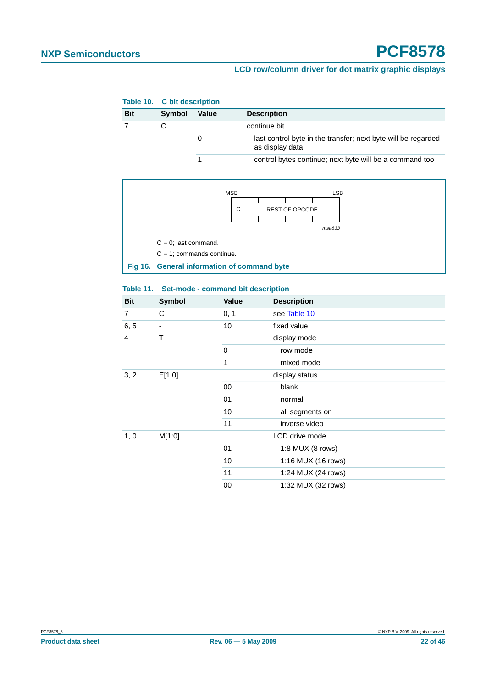<span id="page-21-1"></span>

|            | Table 10. C bit description |              |                                                                                  |  |  |
|------------|-----------------------------|--------------|----------------------------------------------------------------------------------|--|--|
| <b>Bit</b> | Symbol                      | <b>Value</b> | <b>Description</b>                                                               |  |  |
|            |                             |              | continue bit                                                                     |  |  |
|            |                             |              | last control byte in the transfer; next byte will be regarded<br>as display data |  |  |
|            |                             |              | control bytes continue; next byte will be a command too                          |  |  |



#### <span id="page-21-2"></span><span id="page-21-0"></span>**Table 11. Set-mode - command bit description**

| <b>Bit</b> | <b>Symbol</b> | <b>Value</b> | <b>Description</b> |
|------------|---------------|--------------|--------------------|
| 7          | C             | 0, 1         | see Table 10       |
| 6, 5       | -             | 10           | fixed value        |
| 4          | T             |              | display mode       |
|            |               | 0            | row mode           |
|            |               | 1            | mixed mode         |
| 3, 2       | E[1:0]        |              | display status     |
|            |               | 00           | blank              |
|            |               | 01           | normal             |
|            |               | 10           | all segments on    |
|            |               | 11           | inverse video      |
| 1, 0       | M[1:0]        |              | LCD drive mode     |
|            |               | 01           | 1:8 MUX (8 rows)   |
|            |               | 10           | 1:16 MUX (16 rows) |
|            |               | 11           | 1:24 MUX (24 rows) |
|            |               | 00           | 1:32 MUX (32 rows) |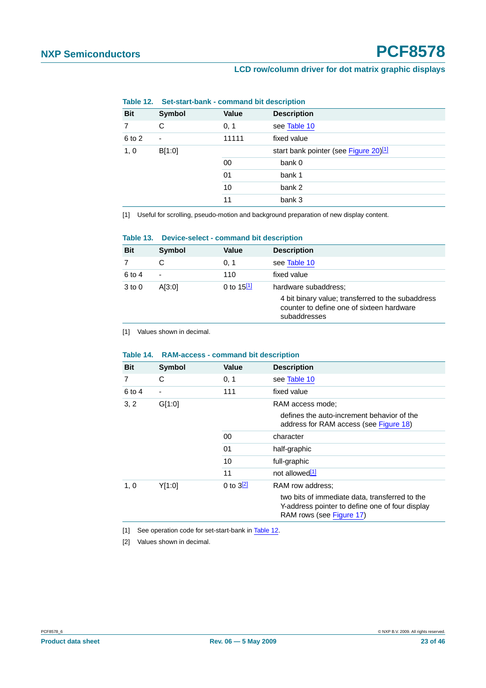<span id="page-22-0"></span>

|                | Table 12. Set-start-bank - command bit description |        |                                       |
|----------------|----------------------------------------------------|--------|---------------------------------------|
| <b>Bit</b>     | Symbol                                             | Value  | <b>Description</b>                    |
|                | C                                                  | 0, 1   | see Table 10                          |
| 6 to 2         |                                                    | 11111  | fixed value                           |
| 1, 0<br>B[1:0] |                                                    |        | start bank pointer (see Figure 20)[1] |
|                |                                                    | 00     | bank 0                                |
|                | 01                                                 | bank 1 |                                       |
|                | 10                                                 | bank 2 |                                       |
|                |                                                    | 11     | bank 3                                |

#### **Table 12. Set-start-bank - command bit description**

<span id="page-22-3"></span>[1] Useful for scrolling, pseudo-motion and background preparation of new display content.

<span id="page-22-1"></span>

|     |               | Table 13. Device-select - command bit description |                    |  |
|-----|---------------|---------------------------------------------------|--------------------|--|
| D H | <b>Symbol</b> | هبياطا                                            | <b>Docorintion</b> |  |

| see Table 10<br>C<br>0, 1<br>6 to 4<br>fixed value<br>110<br>$\overline{\phantom{0}}$<br>0 to $15^{[1]}$<br>A[3:0]<br>hardware subaddress:<br>$3$ to $0$ | <b>Bit</b> | Symbol | <b>Value</b> | <b>Description</b>                                                                                             |
|----------------------------------------------------------------------------------------------------------------------------------------------------------|------------|--------|--------------|----------------------------------------------------------------------------------------------------------------|
|                                                                                                                                                          |            |        |              |                                                                                                                |
|                                                                                                                                                          |            |        |              |                                                                                                                |
|                                                                                                                                                          |            |        |              | 4 bit binary value; transferred to the subaddress<br>counter to define one of sixteen hardware<br>subaddresses |

<span id="page-22-4"></span>[1] Values shown in decimal.

| 14016 14.  |        | <b>NAM-access - command bit description</b> |                                                                                                                               |  |
|------------|--------|---------------------------------------------|-------------------------------------------------------------------------------------------------------------------------------|--|
| <b>Bit</b> | Symbol | <b>Value</b>                                | <b>Description</b>                                                                                                            |  |
| 7          | С      | 0, 1                                        | see Table 10                                                                                                                  |  |
| 6 to 4     | -      | 111                                         | fixed value                                                                                                                   |  |
| 3, 2       | G[1:0] |                                             | RAM access mode:                                                                                                              |  |
|            |        |                                             | defines the auto-increment behavior of the<br>address for RAM access (see Figure 18)                                          |  |
|            |        | 00                                          | character                                                                                                                     |  |
|            |        | 01                                          | half-graphic                                                                                                                  |  |
|            |        | 10                                          | full-graphic                                                                                                                  |  |
|            |        | 11                                          | not allowed <sup>[1]</sup>                                                                                                    |  |
| 1, 0       | Y[1:0] | 0 to $3^{[2]}$                              | RAM row address:                                                                                                              |  |
|            |        |                                             | two bits of immediate data, transferred to the<br>Y-address pointer to define one of four display<br>RAM rows (see Figure 17) |  |

#### <span id="page-22-2"></span>**Table 14. RAM-access - command bit description**

<span id="page-22-5"></span>[1] See operation code for set-start-bank in [Table](#page-22-0) 12.

<span id="page-22-6"></span>[2] Values shown in decimal.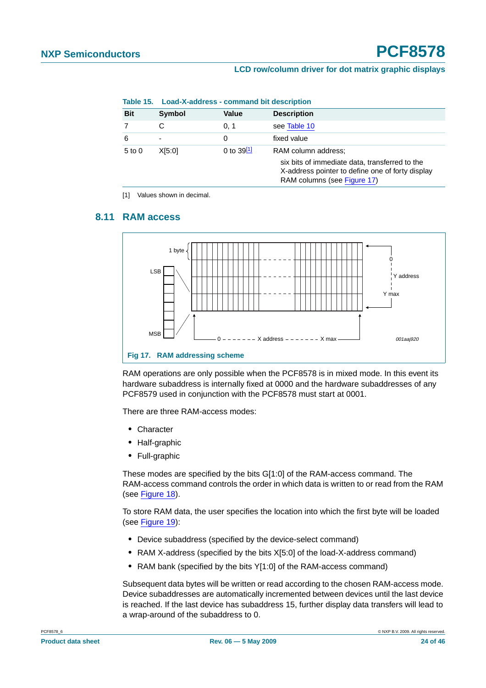|            | Table 15. Load-X-address - command bit description |                 |                                                                                                                                                          |
|------------|----------------------------------------------------|-----------------|----------------------------------------------------------------------------------------------------------------------------------------------------------|
| <b>Bit</b> | Symbol                                             | Value           | <b>Description</b>                                                                                                                                       |
|            | С                                                  | 0.1             | see Table 10                                                                                                                                             |
| 6          | $\overline{\phantom{0}}$                           | 0               | fixed value                                                                                                                                              |
| $5$ to $0$ | X[5:0]                                             | 0 to $39^{[1]}$ | RAM column address:<br>six bits of immediate data, transferred to the<br>X-address pointer to define one of forty display<br>RAM columns (see Figure 17) |

#### <span id="page-23-0"></span>**Table 15. Load-X-address - command bit description**

<span id="page-23-2"></span>[1] Values shown in decimal.

#### <span id="page-23-3"></span>**8.11 RAM access**



<span id="page-23-1"></span>RAM operations are only possible when the PCF8578 is in mixed mode. In this event its hardware subaddress is internally fixed at 0000 and the hardware subaddresses of any PCF8579 used in conjunction with the PCF8578 must start at 0001.

There are three RAM-access modes:

- **•** Character
- **•** Half-graphic
- **•** Full-graphic

These modes are specified by the bits G[1:0] of the RAM-access command. The RAM-access command controls the order in which data is written to or read from the RAM (see [Figure](#page-24-0) 18).

To store RAM data, the user specifies the location into which the first byte will be loaded (see [Figure](#page-25-0) 19):

- **•** Device subaddress (specified by the device-select command)
- **•** RAM X-address (specified by the bits X[5:0] of the load-X-address command)
- **•** RAM bank (specified by the bits Y[1:0] of the RAM-access command)

Subsequent data bytes will be written or read according to the chosen RAM-access mode. Device subaddresses are automatically incremented between devices until the last device is reached. If the last device has subaddress 15, further display data transfers will lead to a wrap-around of the subaddress to 0.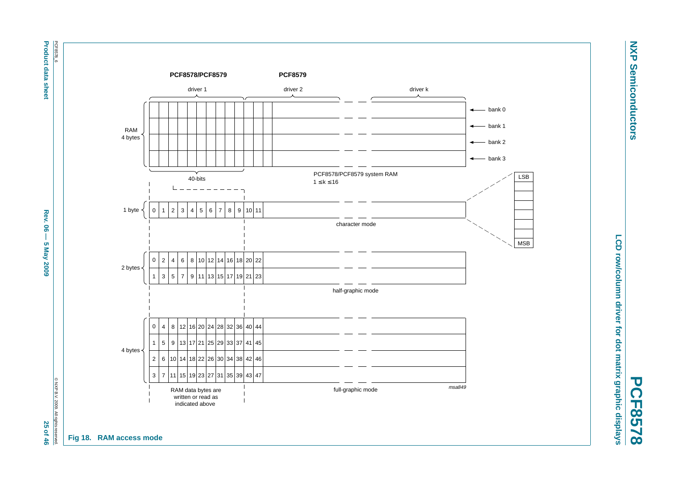PCF8578\_6 **Product data sheet** PCF8578\_6

**Product data sheet Abex 06 — 5 May 2009 2009 26**  $-$  **5 May 2009 25**  $-$  **5 May 2009 26**  $-$  **46 Rev. 06**  $\mathbf{I}$ 5 May 2009

© NXP B.V. 2009. All rights © NXP B.V. 2009. All rights reserved. 25 of 46



**NXP NXP Semiconductors Semiconductors** 

<span id="page-24-0"></span>**PCF8578**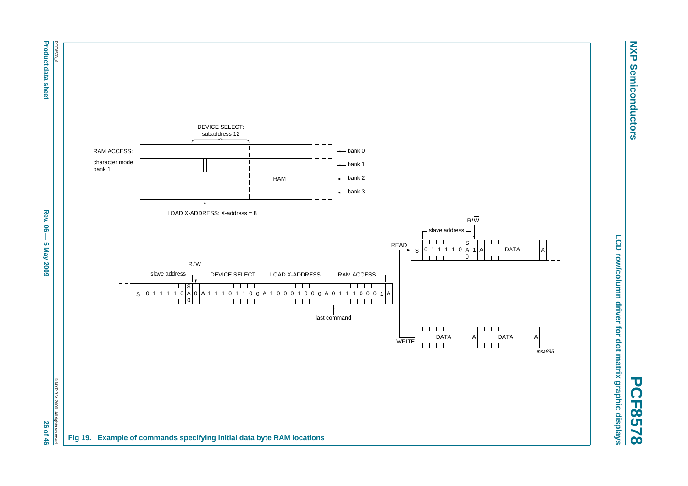

**NXP Semiconductors**

**Semiconductors** 

**NXP** 

<span id="page-25-0"></span>**PCF8578**

**Product data sheet** 

**Product data sheet Abel Sheet Rev. 06 — 5 May 2009 26**  $-$  **5 May 2009 26**  $-$  **5 May 2009 26**  $-$  **46**  $\leq$  **700 26**  $-$ **Rev. 06**  $\overline{1}$ **5 May 2009** 

26 of 46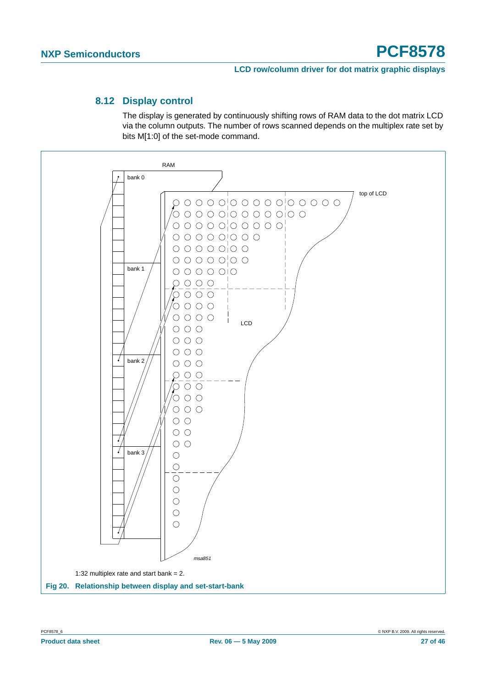#### **8.12 Display control**

The display is generated by continuously shifting rows of RAM data to the dot matrix LCD via the column outputs. The number of rows scanned depends on the multiplex rate set by bits M[1:0] of the set-mode command.

<span id="page-26-1"></span><span id="page-26-0"></span>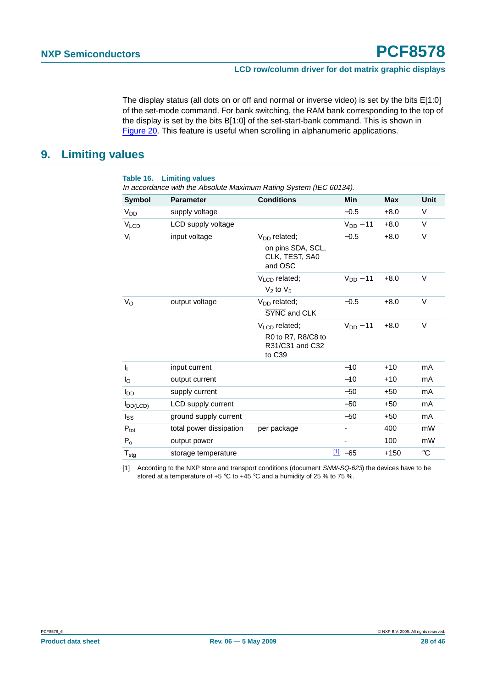The display status (all dots on or off and normal or inverse video) is set by the bits E[1:0] of the set-mode command. For bank switching, the RAM bank corresponding to the top of the display is set by the bits B[1:0] of the set-start-bank command. This is shown in [Figure](#page-26-0) 20. This feature is useful when scrolling in alphanumeric applications.

#### <span id="page-27-1"></span>**9. Limiting values**

**Table 16. Limiting values**

| <b>Symbol</b>             | <b>Parameter</b>        | <b>Conditions</b>                               | Min           | <b>Max</b> | <b>Unit</b>     |
|---------------------------|-------------------------|-------------------------------------------------|---------------|------------|-----------------|
| V <sub>DD</sub>           | supply voltage          |                                                 | $-0.5$        | $+8.0$     | V               |
| $V_{LCD}$                 | LCD supply voltage      |                                                 | $V_{DD} - 11$ | $+8.0$     | V               |
| $V_{I}$                   | input voltage           | $V_{DD}$ related;                               | $-0.5$        | $+8.0$     | V               |
|                           |                         | on pins SDA, SCL,<br>CLK, TEST, SA0<br>and OSC  |               |            |                 |
|                           |                         | V <sub>LCD</sub> related;<br>$V_2$ to $V_5$     | $V_{DD} - 11$ | $+8.0$     | V               |
| $V_{\rm O}$               | output voltage          | $V_{DD}$ related;<br>SYNC and CLK               | $-0.5$        | $+8.0$     | $\vee$          |
|                           |                         | $VLCD$ related;                                 | $V_{DD}$ – 11 | $+8.0$     | V               |
|                           |                         | R0 to R7, R8/C8 to<br>R31/C31 and C32<br>to C39 |               |            |                 |
| I <sub>I</sub>            | input current           |                                                 | $-10$         | $+10$      | mA              |
| $I_{\rm O}$               | output current          |                                                 | $-10$         | $+10$      | mA              |
| l <sub>DD</sub>           | supply current          |                                                 | $-50$         | $+50$      | mA              |
| $I_{DD(LCD)}$             | LCD supply current      |                                                 | $-50$         | $+50$      | mA              |
| $I_{SS}$                  | ground supply current   |                                                 | $-50$         | $+50$      | mA              |
| $P_{\text{tot}}$          | total power dissipation | per package                                     |               | 400        | mW              |
| $P_0$                     | output power            |                                                 |               | 100        | mW              |
| $\mathsf{T}_{\text{stg}}$ | storage temperature     |                                                 | $11 - 65$     | $+150$     | $\rm ^{\circ}C$ |

<span id="page-27-0"></span>[1] According to the NXP store and transport conditions (document SNW-SQ-623) the devices have to be stored at a temperature of +5 °C to +45 °C and a humidity of 25 % to 75 %.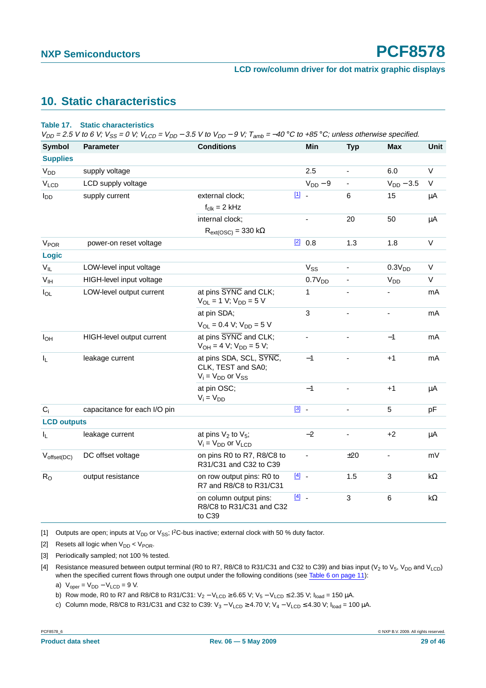## <span id="page-28-4"></span>**10. Static characteristics**

#### **Table 17. Static characteristics**

 $V_{DD}$  = 2.5 V to 6 V;  $V_{SS}$  = 0 V;  $V_{LCD}$  =  $V_{DD}$  – 3.5 V to  $V_{DD}$  – 9 V;  $T_{amb}$  = –40 °C to +85 °C; unless otherwise specified.

| <b>Symbol</b>         | <b>Parameter</b>             | <b>Conditions</b>                                                           |         | Min                | <b>Typ</b>               | <b>Max</b>               | Unit       |
|-----------------------|------------------------------|-----------------------------------------------------------------------------|---------|--------------------|--------------------------|--------------------------|------------|
| <b>Supplies</b>       |                              |                                                                             |         |                    |                          |                          |            |
|                       |                              |                                                                             |         |                    |                          |                          |            |
| <b>V<sub>DD</sub></b> | supply voltage               |                                                                             |         | 2.5                | $\blacksquare$           | 6.0                      | V          |
| VLCD                  | LCD supply voltage           |                                                                             |         | $V_{DD}$ – 9       |                          | $V_{DD} - 3.5$           | $\vee$     |
| $I_{DD}$              | supply current               | external clock;                                                             | 凹.      |                    | 6                        | 15                       | μA         |
|                       |                              | $f_{\text{clk}} = 2$ kHz                                                    |         |                    |                          |                          |            |
|                       |                              | internal clock;                                                             |         |                    | 20                       | 50                       | μA         |
|                       |                              | $R_{ext(OSC)} = 330 k\Omega$                                                |         |                    |                          |                          |            |
| V <sub>POR</sub>      | power-on reset voltage       |                                                                             |         | [2] 0.8            | 1.3                      | 1.8                      | V          |
| Logic                 |                              |                                                                             |         |                    |                          |                          |            |
| $V_{IL}$              | LOW-level input voltage      |                                                                             |         | V <sub>SS</sub>    | $\overline{\phantom{0}}$ | 0.3V <sub>DD</sub>       | V          |
| V <sub>IH</sub>       | HIGH-level input voltage     |                                                                             |         | 0.7V <sub>DD</sub> |                          | V <sub>DD</sub>          | V          |
| $I_{OL}$              | LOW-level output current     | at pins SYNC and CLK;<br>$V_{OL} = 1 V$ ; $V_{DD} = 5 V$                    |         | 1                  | $\frac{1}{2}$            | ۰                        | mA         |
|                       |                              | at pin SDA;                                                                 |         | 3                  | $\frac{1}{2}$            | $\blacksquare$           | mA         |
|                       |                              | $V_{OL} = 0.4 V$ ; $V_{DD} = 5 V$                                           |         |                    |                          |                          |            |
| $I_{OH}$              | HIGH-level output current    | at pins SYNC and CLK;<br>$V_{OH} = 4 V$ ; $V_{DD} = 5 V$ ;                  |         |                    |                          | $-1$                     | mA         |
| I <sub>L</sub>        | leakage current              | at pins SDA, SCL, SYNC,<br>CLK, TEST and SA0;<br>$V_i = V_{DD}$ or $V_{SS}$ |         | $-1$               |                          | $+1$                     | mA         |
|                       |                              | at pin OSC;<br>$V_i = V_{DD}$                                               |         | $-1$               |                          | $+1$                     | μA         |
| $C_i$                 | capacitance for each I/O pin |                                                                             | $[3]$ . |                    | $\overline{a}$           | 5                        | pF         |
| <b>LCD outputs</b>    |                              |                                                                             |         |                    |                          |                          |            |
| IL.                   | leakage current              | at pins $V_2$ to $V_5$ ;<br>$V_i = V_{DD}$ or $V_{LCD}$                     |         | $-2$               |                          | $+2$                     | μA         |
| $V_{offset(DC)}$      | DC offset voltage            | on pins R0 to R7, R8/C8 to<br>R31/C31 and C32 to C39                        |         |                    | ±20                      | $\overline{\phantom{0}}$ | mV         |
| R <sub>O</sub>        | output resistance            | on row output pins: R0 to<br>R7 and R8/C8 to R31/C31                        | $[4]$ . |                    | 1.5                      | 3                        | k $\Omega$ |
|                       |                              | on column output pins:<br>R8/C8 to R31/C31 and C32<br>to C39                | $[4]$ . |                    | 3                        | 6                        | k $\Omega$ |

<span id="page-28-0"></span>[1] Outputs are open; inputs at  $V_{DD}$  or  $V_{SS}$ ;  ${}^{12}$ C-bus inactive; external clock with 50 % duty factor.

<span id="page-28-1"></span>[2] Resets all logic when  $V_{DD}$  <  $V_{POR}$ .

<span id="page-28-2"></span>[3] Periodically sampled; not 100 % tested.

<span id="page-28-3"></span>[4] Resistance measured between output terminal (R0 to R7, R8/C8 to R31/C31 and C32 to C39) and bias input ( $V_2$  to  $V_5$ ,  $V_{DD}$  and  $V_{LCD}$ ) when the specified current flows through one output under the following conditions (see Table [6 on page](#page-10-0) 11):

a)  $V_{\text{oper}} = V_{\text{DD}} - V_{\text{LCD}} = 9 \text{ V}.$ 

b) Row mode, R0 to R7 and R8/C8 to R31/C31:  $V_2 - V_{LCD} \ge 6.65$  V;  $V_5 - V_{LCD} \le 2.35$  V;  $I_{load} = 150$  µA.

c) Column mode, R8/C8 to R31/C31 and C32 to C39: V<sub>3</sub> – V<sub>LCD</sub> ≥ 4.70 V; V<sub>4</sub> – V<sub>LCD</sub> ≤ 4.30 V; I<sub>load</sub> = 100 µA.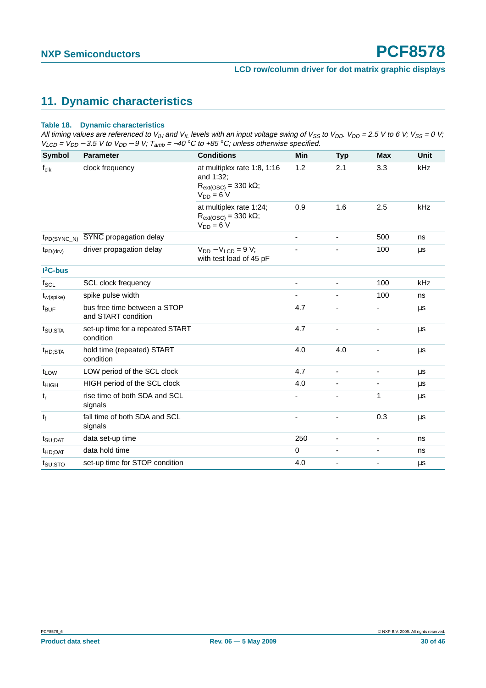## <span id="page-29-0"></span>**11. Dynamic characteristics**

#### **Table 18. Dynamic characteristics**

All timing values are referenced to V<sub>IH</sub> and V<sub>IL</sub> levels with an input voltage swing of V<sub>SS</sub> to V<sub>DD</sub>. V<sub>DD</sub> = 2.5 V to 6 V; V<sub>SS</sub> = 0 V;  $V_{LCD}$  =  $V_{DD}$  – 3.5 V to  $V_{DD}$  – 9 V; T<sub>amb</sub> = –40 °C to +85 °C; unless otherwise specified.

| Symbol              | <b>Parameter</b>                                    | <b>Conditions</b>                                                                      | <b>Min</b>     | <b>Typ</b>               | <b>Max</b>               | <b>Unit</b> |
|---------------------|-----------------------------------------------------|----------------------------------------------------------------------------------------|----------------|--------------------------|--------------------------|-------------|
| $f_{clk}$           | clock frequency                                     | at multiplex rate 1:8, 1:16<br>and 1:32;<br>$R_{ext(OSC)} = 330$ kΩ;<br>$V_{DD} = 6 V$ | 1.2            | 2.1                      | 3.3                      | kHz         |
|                     |                                                     | at multiplex rate 1:24;<br>$R_{ext(OSC)} = 330 k\Omega$ ;<br>$V_{DD} = 6V$             | 0.9            | 1.6                      | 2.5                      | kHz         |
| $tp_{D(SYNC_N)}$    | SYNC propagation delay                              |                                                                                        | ٠              |                          | 500                      | ns          |
| $t_{PD(drv)}$       | driver propagation delay                            | $V_{DD} - V_{LCD} = 9 V$ ;<br>with test load of 45 pF                                  |                |                          | 100                      | μs          |
| $I2C-bus$           |                                                     |                                                                                        |                |                          |                          |             |
| $f_{SCL}$           | SCL clock frequency                                 |                                                                                        | $\blacksquare$ | $\blacksquare$           | 100                      | kHz         |
| $t_{w(spike)}$      | spike pulse width                                   |                                                                                        | ÷,             | $\overline{\phantom{a}}$ | 100                      | ns          |
| t <sub>BUF</sub>    | bus free time between a STOP<br>and START condition |                                                                                        | 4.7            |                          |                          | μs          |
| $t_{\text{SU;STA}}$ | set-up time for a repeated START<br>condition       |                                                                                        | 4.7            |                          |                          | μs          |
| t <sub>HD:STA</sub> | hold time (repeated) START<br>condition             |                                                                                        | 4.0            | 4.0                      |                          | $\mu$ s     |
| t <sub>LOW</sub>    | LOW period of the SCL clock                         |                                                                                        | 4.7            | $\blacksquare$           | $\overline{\phantom{0}}$ | μs          |
| <sup>t</sup> HIGH   | HIGH period of the SCL clock                        |                                                                                        | 4.0            | $\overline{\phantom{a}}$ |                          | μs          |
| $t_r$               | rise time of both SDA and SCL<br>signals            |                                                                                        |                |                          | 1                        | μs          |
| tf                  | fall time of both SDA and SCL<br>signals            |                                                                                        |                |                          | 0.3                      | μs          |
| $t_{\text{SU;DAT}}$ | data set-up time                                    |                                                                                        | 250            | $\overline{\phantom{m}}$ | $\overline{\phantom{0}}$ | ns          |
| <sup>t</sup> HD;DAT | data hold time                                      |                                                                                        | $\mathbf 0$    | $\overline{\phantom{a}}$ | $\overline{\phantom{0}}$ | ns          |
| $t_{\text{SU;STO}}$ | set-up time for STOP condition                      |                                                                                        | 4.0            | $\overline{\phantom{a}}$ | -                        | μs          |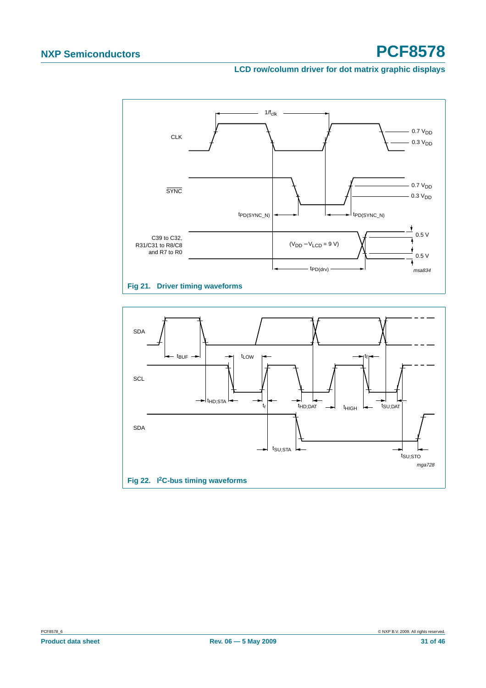#### **LCD row/column driver for dot matrix graphic displays**



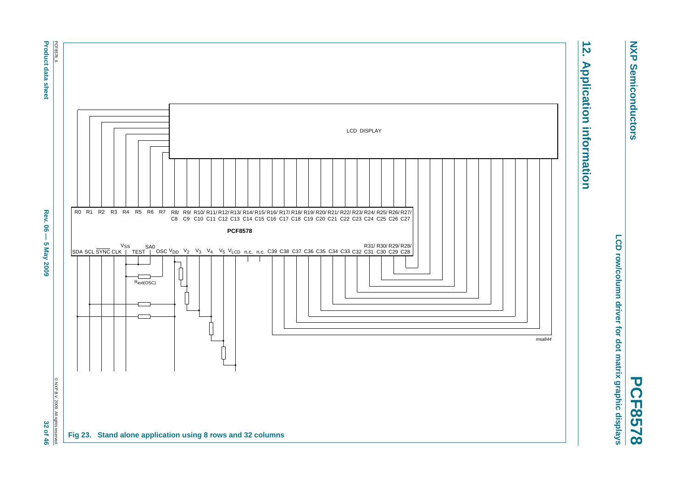

**PCF8578**

LCD row/column driver for dot matrix graphic displays **LCD row/column driver for dot matrix graphic displays**

# $\overrightarrow{2}$ **12. Application information Application information**

<span id="page-31-0"></span>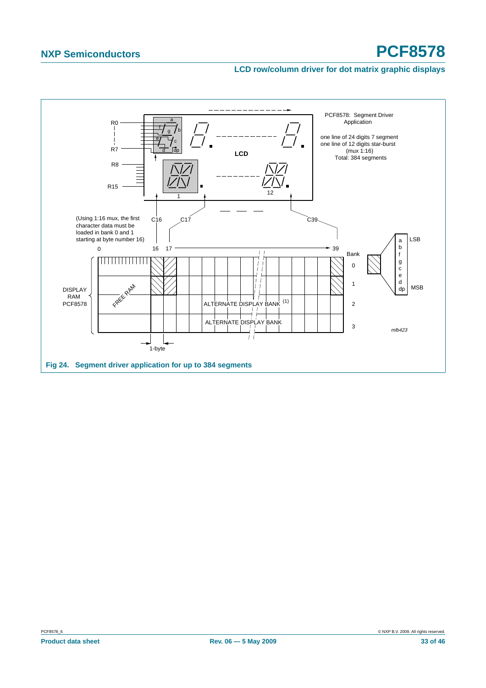#### **LCD row/column driver for dot matrix graphic displays**

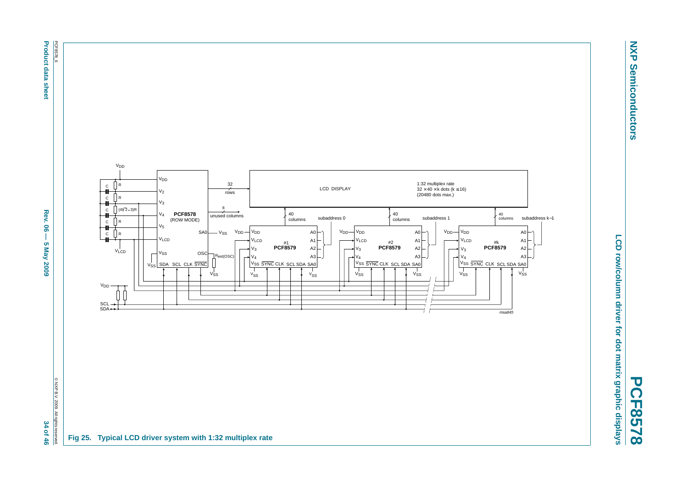

© NXP B.V. 2009. All rights reserved.



**PCF8578**

**NXP Semiconductors**

**Semiconductors** 

**NXP**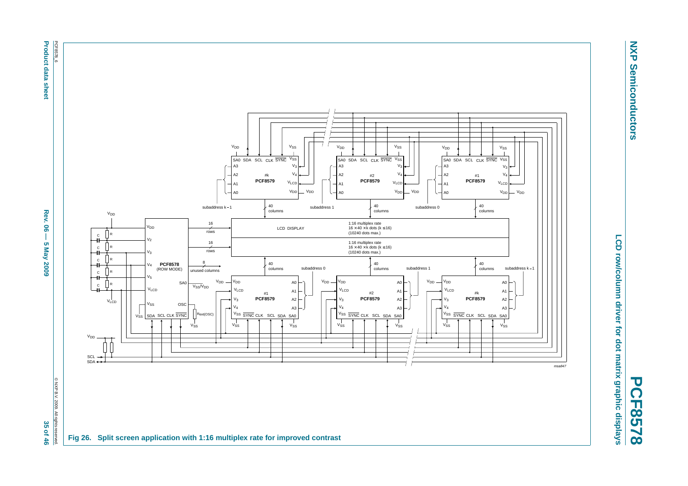PCF8578\_6 **Product data sheet** 



**NXP NXP Semiconductors Semiconductors** 

**PCF8578**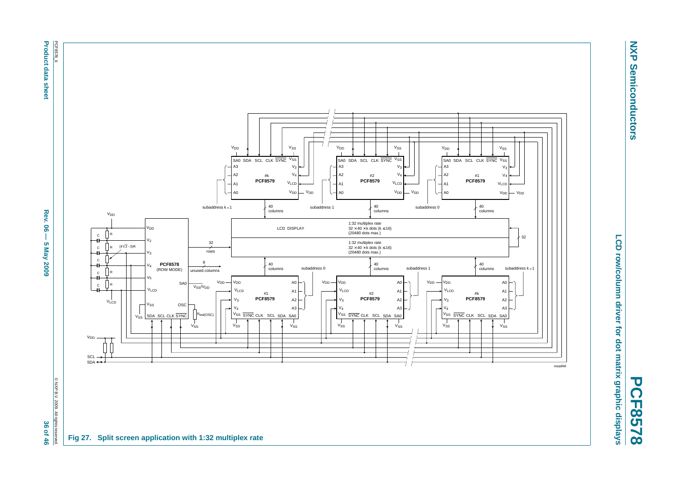PCF8578\_6 **Product data sheet** PCF8578\_6



**NXP NXP Semiconductors Semiconductors** 

**PCF8578**

**Product data sheet Abes. 06 — 5 May 2009 36**  $-$  **5 May 2009 36**  $-$  **5 May 2009 36**  $-$  **46 May 2009 36**  $-$  **46 Rev. 06**  $\mathbf{I}$ **5 May 2009** 

© NXP B.V. 2009. All rights reserved.

36 of 46

@ NXP B.V. 2009. All rights re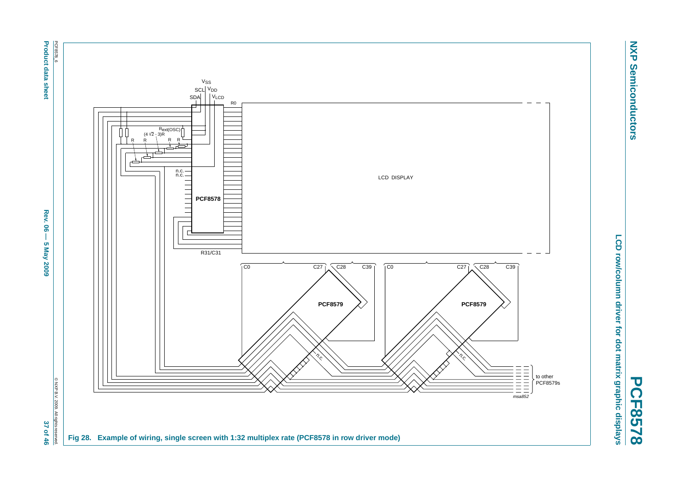

**NXP Semiconductors**

**Semiconductors** 

**NXP** 

**PCF8578**

**Product data sheet Abel Sheet Rev. 06 — 5 May 2009 300 300 - 5 May 2009 37 of 46 Rev. 06** Ĩ **5 May 2009** 

37 of 46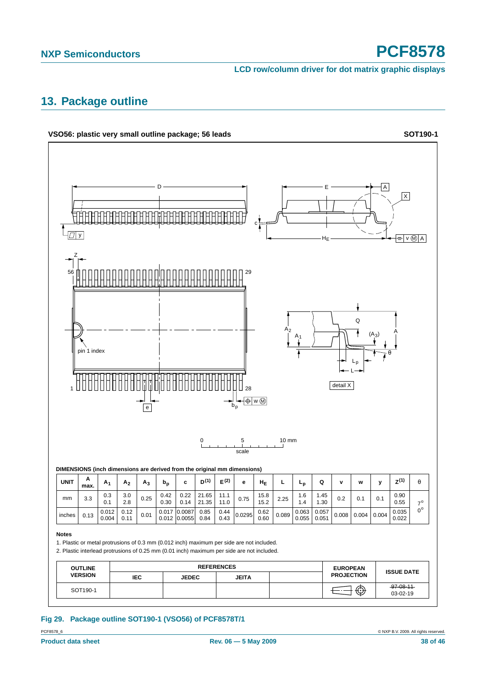**LCD row/column driver for dot matrix graphic displays**

### <span id="page-37-1"></span>**13. Package outline**



<span id="page-37-0"></span>**Fig 29. Package outline SOT190-1 (VSO56) of PCF8578T/1**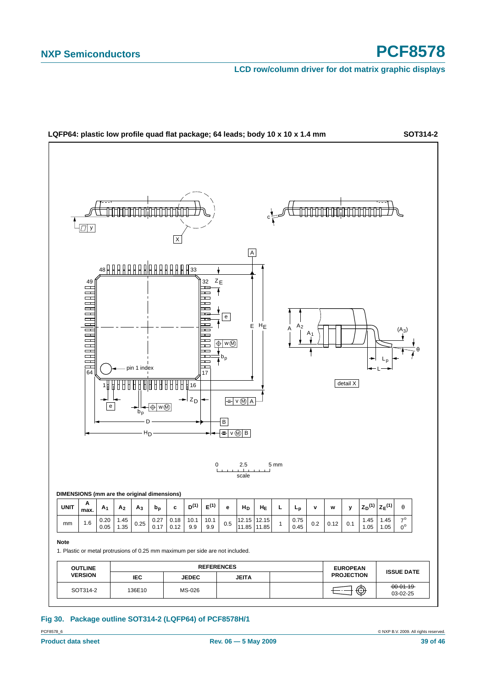**LCD row/column driver for dot matrix graphic displays**



#### <span id="page-38-0"></span>**Fig 30. Package outline SOT314-2 (LQFP64) of PCF8578H/1**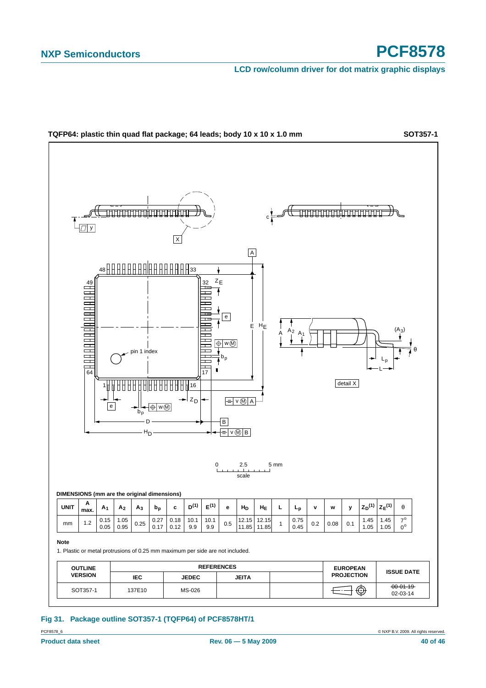**LCD row/column driver for dot matrix graphic displays**



#### <span id="page-39-0"></span>**Fig 31. Package outline SOT357-1 (TQFP64) of PCF8578HT/1**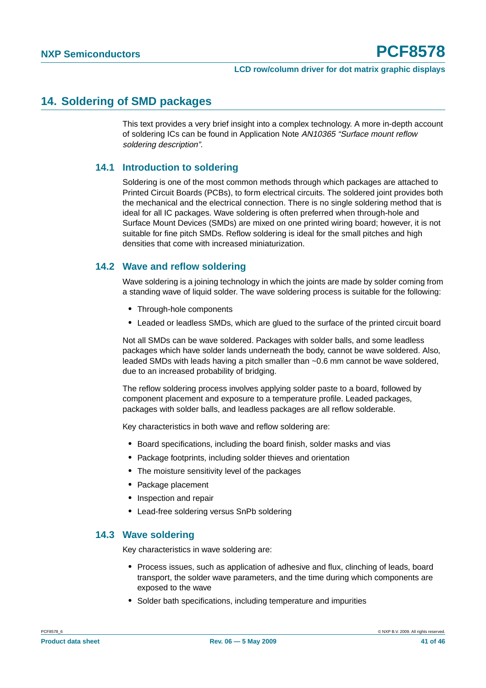#### <span id="page-40-0"></span>**14. Soldering of SMD packages**

This text provides a very brief insight into a complex technology. A more in-depth account of soldering ICs can be found in Application Note AN10365 "Surface mount reflow soldering description".

#### <span id="page-40-1"></span>**14.1 Introduction to soldering**

Soldering is one of the most common methods through which packages are attached to Printed Circuit Boards (PCBs), to form electrical circuits. The soldered joint provides both the mechanical and the electrical connection. There is no single soldering method that is ideal for all IC packages. Wave soldering is often preferred when through-hole and Surface Mount Devices (SMDs) are mixed on one printed wiring board; however, it is not suitable for fine pitch SMDs. Reflow soldering is ideal for the small pitches and high densities that come with increased miniaturization.

#### <span id="page-40-2"></span>**14.2 Wave and reflow soldering**

Wave soldering is a joining technology in which the joints are made by solder coming from a standing wave of liquid solder. The wave soldering process is suitable for the following:

- **•** Through-hole components
- **•** Leaded or leadless SMDs, which are glued to the surface of the printed circuit board

Not all SMDs can be wave soldered. Packages with solder balls, and some leadless packages which have solder lands underneath the body, cannot be wave soldered. Also, leaded SMDs with leads having a pitch smaller than ~0.6 mm cannot be wave soldered, due to an increased probability of bridging.

The reflow soldering process involves applying solder paste to a board, followed by component placement and exposure to a temperature profile. Leaded packages, packages with solder balls, and leadless packages are all reflow solderable.

Key characteristics in both wave and reflow soldering are:

- **•** Board specifications, including the board finish, solder masks and vias
- **•** Package footprints, including solder thieves and orientation
- **•** The moisture sensitivity level of the packages
- **•** Package placement
- **•** Inspection and repair
- **•** Lead-free soldering versus SnPb soldering

#### <span id="page-40-3"></span>**14.3 Wave soldering**

Key characteristics in wave soldering are:

- **•** Process issues, such as application of adhesive and flux, clinching of leads, board transport, the solder wave parameters, and the time during which components are exposed to the wave
- **•** Solder bath specifications, including temperature and impurities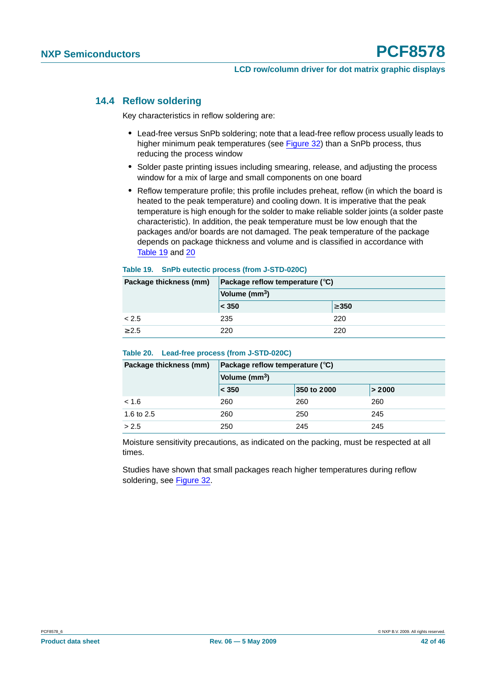#### <span id="page-41-0"></span>**14.4 Reflow soldering**

Key characteristics in reflow soldering are:

- **•** Lead-free versus SnPb soldering; note that a lead-free reflow process usually leads to higher minimum peak temperatures (see Figure 32) than a SnPb process, thus reducing the process window
- **•** Solder paste printing issues including smearing, release, and adjusting the process window for a mix of large and small components on one board
- **•** Reflow temperature profile; this profile includes preheat, reflow (in which the board is heated to the peak temperature) and cooling down. It is imperative that the peak temperature is high enough for the solder to make reliable solder joints (a solder paste characteristic). In addition, the peak temperature must be low enough that the packages and/or boards are not damaged. The peak temperature of the package depends on package thickness and volume and is classified in accordance with Table 19 and 20

#### **Table 19. SnPb eutectic process (from J-STD-020C)**

| Package thickness (mm) | Package reflow temperature $(^\circ \text{C})$ |            |  |
|------------------------|------------------------------------------------|------------|--|
|                        | Volume (mm <sup>3</sup> )                      |            |  |
|                        | $ <$ 350                                       | $\geq 350$ |  |
| < 2.5                  | 235                                            | 220        |  |
| > 2.5                  | 220                                            | 220        |  |

#### **Table 20. Lead-free process (from J-STD-020C)**

| Package thickness (mm) | Package reflow temperature $(^\circ \text{C})$ |             |        |  |  |
|------------------------|------------------------------------------------|-------------|--------|--|--|
|                        | Volume $(mm3)$                                 |             |        |  |  |
|                        | $ <$ 350                                       | 350 to 2000 | > 2000 |  |  |
| < 1.6                  | 260                                            | 260         | 260    |  |  |
| 1.6 to 2.5             | 260                                            | 250         | 245    |  |  |
| > 2.5                  | 250                                            | 245         | 245    |  |  |

Moisture sensitivity precautions, as indicated on the packing, must be respected at all times.

Studies have shown that small packages reach higher temperatures during reflow soldering, see Figure 32.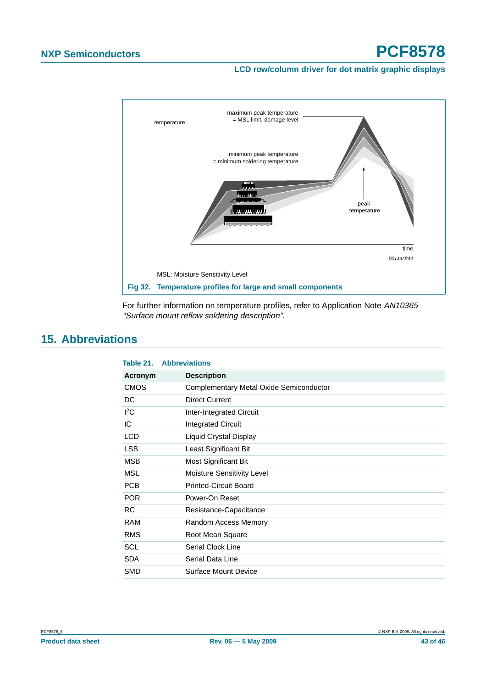#### **LCD row/column driver for dot matrix graphic displays**



For further information on temperature profiles, refer to Application Note AN10365 "Surface mount reflow soldering description".

## <span id="page-42-0"></span>**15. Abbreviations**

| Table 21.   | <b>Abbreviations</b>                    |
|-------------|-----------------------------------------|
| Acronym     | <b>Description</b>                      |
| <b>CMOS</b> | Complementary Metal Oxide Semiconductor |
| DC          | <b>Direct Current</b>                   |
| ${}^{12}C$  | <b>Inter-Integrated Circuit</b>         |
| IC          | <b>Integrated Circuit</b>               |
| <b>LCD</b>  | Liquid Crystal Display                  |
| <b>LSB</b>  | Least Significant Bit                   |
| <b>MSB</b>  | Most Significant Bit                    |
| <b>MSL</b>  | <b>Moisture Sensitivity Level</b>       |
| <b>PCB</b>  | <b>Printed-Circuit Board</b>            |
| <b>POR</b>  | Power-On Reset                          |
| <b>RC</b>   | Resistance-Capacitance                  |
| <b>RAM</b>  | Random Access Memory                    |
| <b>RMS</b>  | Root Mean Square                        |
| SCL         | Serial Clock Line                       |
| <b>SDA</b>  | Serial Data Line                        |
| <b>SMD</b>  | Surface Mount Device                    |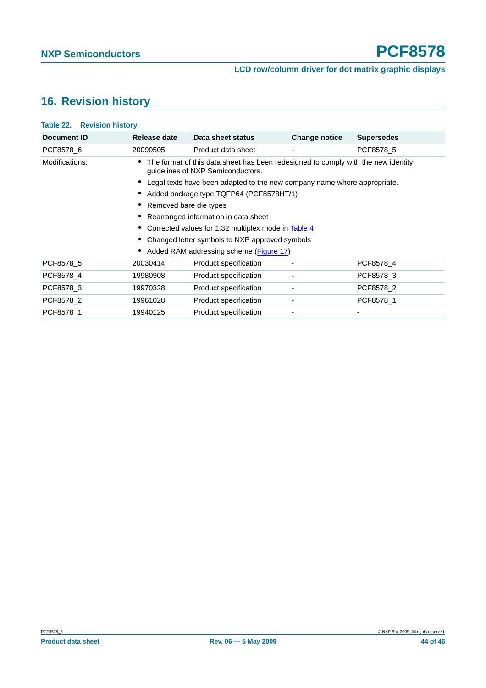## <span id="page-43-0"></span>**16. Revision history**

| Document ID    | Release date                                   | Data sheet status                                                                                                      | <b>Change notice</b> | <b>Supersedes</b> |  |
|----------------|------------------------------------------------|------------------------------------------------------------------------------------------------------------------------|----------------------|-------------------|--|
| PCF8578 6      | 20090505                                       | Product data sheet                                                                                                     |                      | PCF8578 5         |  |
| Modifications: |                                                | The format of this data sheet has been redesigned to comply with the new identity<br>guidelines of NXP Semiconductors. |                      |                   |  |
|                |                                                | Legal texts have been adapted to the new company name where appropriate.                                               |                      |                   |  |
|                |                                                | Added package type TQFP64 (PCF8578HT/1)                                                                                |                      |                   |  |
|                |                                                | Removed bare die types                                                                                                 |                      |                   |  |
|                | Rearranged information in data sheet           |                                                                                                                        |                      |                   |  |
|                |                                                | Corrected values for 1:32 multiplex mode in Table 4                                                                    |                      |                   |  |
|                | Changed letter symbols to NXP approved symbols |                                                                                                                        |                      |                   |  |
|                |                                                | Added RAM addressing scheme (Figure 17)                                                                                |                      |                   |  |
| PCF8578 5      | 20030414                                       | Product specification                                                                                                  |                      | PCF8578_4         |  |
| PCF8578 4      | 19980908                                       | Product specification                                                                                                  | ۰                    | PCF8578 3         |  |
| PCF8578 3      | 19970328                                       | Product specification                                                                                                  | ۰                    | PCF8578 2         |  |
| PCF8578 2      | 19961028                                       | Product specification                                                                                                  | ٠                    | PCF8578 1         |  |
| PCF8578 1      | 19940125                                       | Product specification                                                                                                  | ٠                    | ٠                 |  |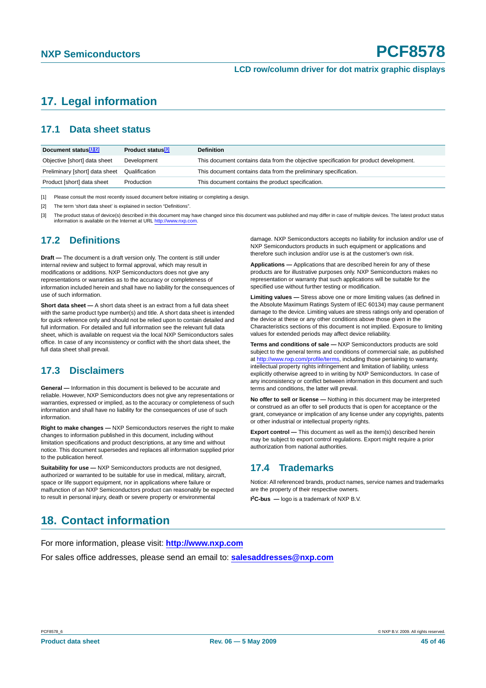## <span id="page-44-0"></span>**17. Legal information**

#### <span id="page-44-1"></span>**17.1 Data sheet status**

| Document status <sup>[1][2]</sup> | Product status <sup>[3]</sup> | <b>Definition</b>                                                                     |
|-----------------------------------|-------------------------------|---------------------------------------------------------------------------------------|
| Objective [short] data sheet      | Development                   | This document contains data from the objective specification for product development. |
| Preliminary [short] data sheet    | Qualification                 | This document contains data from the preliminary specification.                       |
| Product [short] data sheet        | Production                    | This document contains the product specification.                                     |

[1] Please consult the most recently issued document before initiating or completing a design.

[2] The term 'short data sheet' is explained in section "Definitions".

[3] The product status of device(s) described in this document may have changed since this document was published and may differ in case of multiple devices. The latest product status information is available on the Internet at URL <http://www.nxp.com>.

#### <span id="page-44-2"></span>**17.2 Definitions**

**Draft —** The document is a draft version only. The content is still under internal review and subject to formal approval, which may result in modifications or additions. NXP Semiconductors does not give any representations or warranties as to the accuracy or completeness of information included herein and shall have no liability for the consequences of use of such information.

**Short data sheet —** A short data sheet is an extract from a full data sheet with the same product type number(s) and title. A short data sheet is intended for quick reference only and should not be relied upon to contain detailed and full information. For detailed and full information see the relevant full data sheet, which is available on request via the local NXP Semiconductors sales office. In case of any inconsistency or conflict with the short data sheet, the full data sheet shall prevail.

#### <span id="page-44-3"></span>**17.3 Disclaimers**

**General —** Information in this document is believed to be accurate and reliable. However, NXP Semiconductors does not give any representations or warranties, expressed or implied, as to the accuracy or completeness of such information and shall have no liability for the consequences of use of such information.

**Right to make changes —** NXP Semiconductors reserves the right to make changes to information published in this document, including without limitation specifications and product descriptions, at any time and without notice. This document supersedes and replaces all information supplied prior to the publication hereof.

**Suitability for use - NXP** Semiconductors products are not designed, authorized or warranted to be suitable for use in medical, military, aircraft, space or life support equipment, nor in applications where failure or malfunction of an NXP Semiconductors product can reasonably be expected to result in personal injury, death or severe property or environmental

damage. NXP Semiconductors accepts no liability for inclusion and/or use of NXP Semiconductors products in such equipment or applications and therefore such inclusion and/or use is at the customer's own risk.

**Applications —** Applications that are described herein for any of these products are for illustrative purposes only. NXP Semiconductors makes no representation or warranty that such applications will be suitable for the specified use without further testing or modification.

**Limiting values —** Stress above one or more limiting values (as defined in the Absolute Maximum Ratings System of IEC 60134) may cause permanent damage to the device. Limiting values are stress ratings only and operation of the device at these or any other conditions above those given in the Characteristics sections of this document is not implied. Exposure to limiting values for extended periods may affect device reliability.

**Terms and conditions of sale —** NXP Semiconductors products are sold subject to the general terms and conditions of commercial sale, as published at <http://www.nxp.com/profile/terms>, including those pertaining to warranty, intellectual property rights infringement and limitation of liability, unless explicitly otherwise agreed to in writing by NXP Semiconductors. In case of any inconsistency or conflict between information in this document and such terms and conditions, the latter will prevail.

**No offer to sell or license —** Nothing in this document may be interpreted or construed as an offer to sell products that is open for acceptance or the grant, conveyance or implication of any license under any copyrights, patents or other industrial or intellectual property rights.

**Export control —** This document as well as the item(s) described herein may be subject to export control regulations. Export might require a prior authorization from national authorities.

#### <span id="page-44-4"></span>**17.4 Trademarks**

Notice: All referenced brands, product names, service names and trademarks are the property of their respective owners.

**I 2C-bus —** logo is a trademark of NXP B.V.

### <span id="page-44-5"></span>**18. Contact information**

For more information, please visit: **http://www.nxp.com**

For sales office addresses, please send an email to: **salesaddresses@nxp.com**